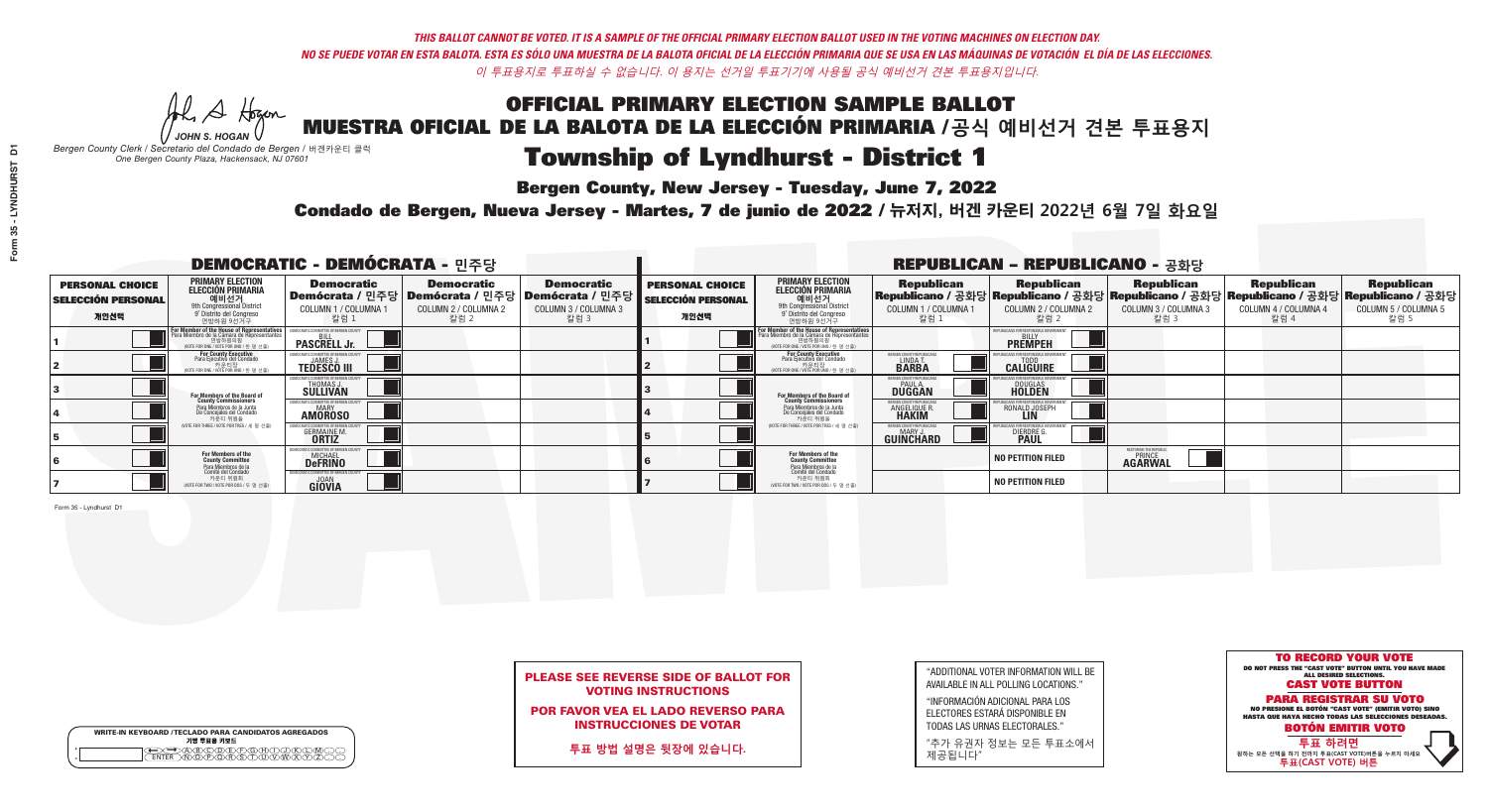**Bergen County, New Jersey - Tuesday, June 7, 2022** 

Al Stogan *JOHN S. HOGAN*

| <b>WRITE-IN KEYBOARD /TECLADO PARA CANDIDATOS AGREGADOS</b><br>기명 투표용 키보드 |
|---------------------------------------------------------------------------|
|                                                                           |

*Bergen County Clerk / Secretario del Condado de Bergen /* 버겐카운티 클럭 *One Bergen County Plaza, Hackensack, NJ 07601*

Condado de Bergen, Nueva Jersey - Martes, 7 de junio de 2022 / 뉴저지, 버겐 카운티 2022년 6월 7일 화요일 *One Bergen County Plaza, Hackensack, NJ 07601*



### PLEASE SEE REVERSE SIDE OF BALLOT FOR VOTING INSTRUCTIONS

POR FAVOR VEA EL LADO REVERSO PARA INSTRUCCIONES DE VOTAR

**투표 방법 설명은 뒷장에 있습니다.**

| "ADDITIONAL VOTER INFORMATION WILL BE |
|---------------------------------------|
| AVAILABLE IN ALL POLLING LOCATIONS."  |
|                                       |

"INFORMACIÓN ADICIONAL PARA LOS ELECTORES ESTARÁ DISPONIBLE EN TODAS LAS URNAS ELECTORALES."

"추가 유권자 정보는 모든 투표소에서 제공됩니다"

| <b>DEMOCRATIC - DEMÓCRATA - 민주당</b>                         |                                                                                                                                                   |                                                             |                                                   |                                                                                                      |                                                             |                                                                                                                                                      |                                                             | <b>REPUBLICAN - REPUBLICANO - 공화당</b>                                                                                                           |                                                    |                                                   |                                                   |
|-------------------------------------------------------------|---------------------------------------------------------------------------------------------------------------------------------------------------|-------------------------------------------------------------|---------------------------------------------------|------------------------------------------------------------------------------------------------------|-------------------------------------------------------------|------------------------------------------------------------------------------------------------------------------------------------------------------|-------------------------------------------------------------|-------------------------------------------------------------------------------------------------------------------------------------------------|----------------------------------------------------|---------------------------------------------------|---------------------------------------------------|
| <b>PERSONAL CHOICE</b><br><b>SELECCIÓN PERSONAL</b><br>개인선택 | PRIMARY ELECTION<br><b>ELECCIÓN PRIMARIA</b><br>애비선거<br><sup>9th</sup> Congressional District<br><sup>9°</sup> Distrito del Congreso<br>연방하원 9선거구 | <b>Democratic</b><br>COLUMN 1 / COLUMNA 1<br>_ 칼럼 1         | <b>Democratic</b><br>COLUMN 2 / COLUMNA 2<br>칼럼 2 | <b>Democratic</b><br>Demócrata / 민주당 Demócrata / 민주당 Demócrata / 민주당<br>COLUMN 3 / COLUMNA 3<br>칼럼 3 | <b>PERSONAL CHOICE</b><br><b>SELECCIÓN PERSONAL</b><br>개인선택 | <b>PRIMARY ELECTION</b><br>ELECCIÓN PRIMARIA<br>예비선거<br><sup>9th</sup> Congressional District<br><sup>9'</sup> Distrito del Congreso<br>연방하원 9선거구    | <b>Republican</b><br>COLUMN 1 / COLUMNA 1<br>.칼럼 :          | <b>Republican</b><br>Republicano / 공화당 Republicano / 공화당 Republicano / 공화당 Republicano / 공화당 Republicano / 공화당<br>COLUMN 2 / COLUMNA 2<br>-칼럼 2 | <b>Republican</b><br>COLUMN 3 / COLUMNA 3<br>칼럼 3  | <b>Republican</b><br>COLUMN 4 / COLUMNA 4<br>칼럼 4 | <b>Republican</b><br>COLUMN 5 / COLUMNA 5<br>칼럼 5 |
|                                                             | For Member of the House of Representative:<br>Para Miembro de la Cámara de Representantes                                                         | <b>PASCRELL Jr.</b>                                         |                                                   |                                                                                                      |                                                             | <b>For Member of the House of Representatives</b><br>Para Miembro de la Cámara de Representantes<br>연방하원의원<br>(VOTE FOR ONE / VOTE POR UNO / 한 명 선출) |                                                             | <b>PREMPEH</b>                                                                                                                                  |                                                    |                                                   |                                                   |
|                                                             | For County Executive<br>Para Ejecutivo del Condado<br>VOTE FOR ONE / VOTE POR UNO / 한 명 선출)                                                       | <b>TEDESCO III</b>                                          |                                                   |                                                                                                      |                                                             | For County Executive<br>Para Ejecutivo del Condado<br>NOTE FOR ONE / VOTE POR UNO / 한 명 선출)                                                          | ERGEN COUNTY REPUBLICA<br>LINDA T.                          | <b>CALIGUIRE</b>                                                                                                                                |                                                    |                                                   |                                                   |
|                                                             | For Members of the Board of<br>County Commissioners                                                                                               | EMOCRATIC COMMITTEE OF BERGEN C<br>THOMAS J.<br>SULLIVAN    |                                                   |                                                                                                      |                                                             | For Members of the Board of<br>County Commissioners                                                                                                  | BERGEN COUNTY REPUBLICAN<br><b>PAUL A.</b><br><b>DUGGAN</b> | <b>DOUGLAS</b>                                                                                                                                  |                                                    |                                                   |                                                   |
|                                                             | Para Miembros de la Junta<br>De Concejales del Condado<br>카우티 위원들                                                                                 | <b>IOCRATIC COMMITTEE OF BERGEN COUNT</b><br><b>AMOROSO</b> |                                                   |                                                                                                      |                                                             | Para Miembros de la Junta<br>De Concejales del Condado<br>카운티 위원들                                                                                    | ERGEN COUNTY REPUBLICAN<br><b>ANGELIQUE R</b>               | RONALD JOSEPH<br><b>LIN</b>                                                                                                                     |                                                    |                                                   |                                                   |
|                                                             | NOTE FOR THREE / VOTE POR TRES / 세 명 선출)                                                                                                          | <b>GERMAINE M.</b>                                          |                                                   |                                                                                                      |                                                             | (VOTE FOR THREE / VOTE POR TRES / 세 명 선출)                                                                                                            | BERGEN COUNTY REPUBLICAN<br>MARY J<br>GUINCHARD             | <b>DIERDRE</b>                                                                                                                                  |                                                    |                                                   |                                                   |
|                                                             | For Members of the<br>County Committee<br>Para Miembros de la<br>Comité del Condado                                                               | MOCRATIC COMMITTEE OF BERGEN CO<br><b>DeFRINO</b>           |                                                   |                                                                                                      |                                                             | For Members of the<br>County Committee                                                                                                               |                                                             | <b>NO PETITION FILED</b>                                                                                                                        | RESTORING THE REPUBLIC<br>PRINCE<br><b>AGARWAL</b> |                                                   |                                                   |
|                                                             | 카운티 위원회<br>NOTE FOR TWO / VOTE POR DOS / 두 명 선출)                                                                                                  | <b>GIOVIA</b>                                               |                                                   |                                                                                                      |                                                             | Para Miembros de la<br>Comité del Condado<br>카운티 위원회<br>NOTE FOR TWO / VOTE POR DOS / 두 명 선출)                                                        |                                                             | <b>NO PETITION FILED</b>                                                                                                                        |                                                    |                                                   |                                                   |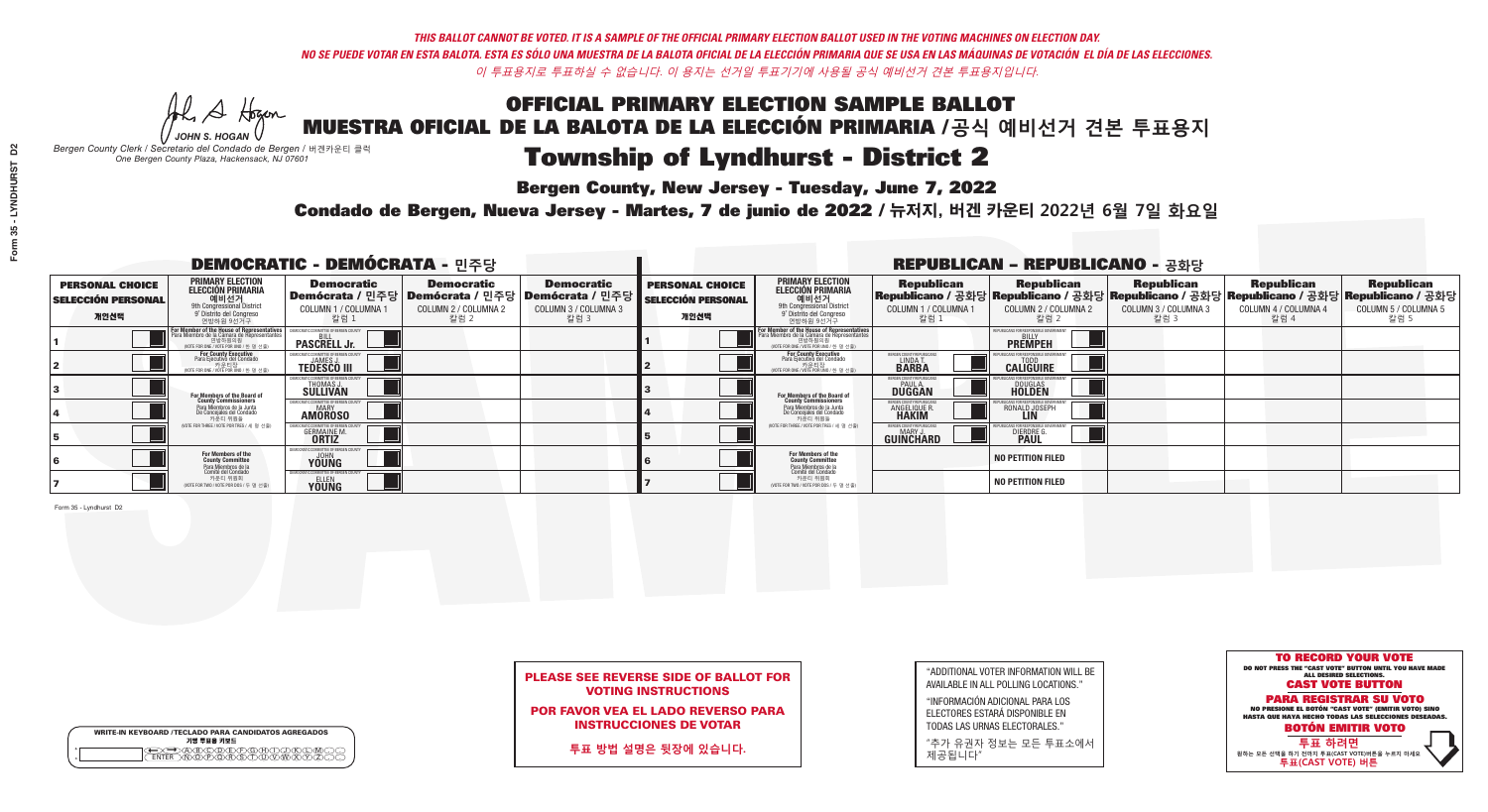Al Stogan *JOHN S. HOGAN*

| <b>WRITE-IN KEYBOARD /TECLADO PARA CANDIDATOS AGREGADOS</b><br>기명 투표용 키보드 |
|---------------------------------------------------------------------------|
| )(B)C)(D)(E)(F)(G)(                                                       |

# Township of Lyndhurst - District 2

**Bergen County, New Jersey - Tuesday, June 7, 2022** 

*Bergen County Clerk / Secretario del Condado de Bergen /* 버겐카운티 클럭 *One Bergen County Plaza, Hackensack, NJ 07601*

Condado de Bergen, Nueva Jersey - Martes, 7 de junio de 2022 / 뉴저지, 버겐 카운티 2022년 6월 7일 화요일 *One Bergen County Plaza, Hackensack, NJ 07601*



### PLEASE SEE REVERSE SIDE OF BALLOT FOR VOTING INSTRUCTIONS

POR FAVOR VEA EL LADO REVERSO PARA INSTRUCCIONES DE VOTAR

**투표 방법 설명은 뒷장에 있습니다.**

| "ADDITIONAL VOTER INFORMATION WILL BE |
|---------------------------------------|
| AVAILABLE IN ALL POLLING LOCATIONS."  |
|                                       |

"INFORMACIÓN ADICIONAL PARA LOS ELECTORES ESTARÁ DISPONIBLE EN TODAS LAS URNAS ELECTORALES."

"추가 유권자 정보는 모든 투표소에서 제공됩니다"

| <b>DEMOCRATIC - DEMÓCRATA - 민주당</b>                         |                                                                                                                                                   |                                                             |                                                   |                                                                                                      | <b>REPUBLICAN - REPUBLICANO - 공화당</b>                       |                                                                                                                                                      |                                                             |                                                                                                                                                   |                                                   |                                                   |                                                   |
|-------------------------------------------------------------|---------------------------------------------------------------------------------------------------------------------------------------------------|-------------------------------------------------------------|---------------------------------------------------|------------------------------------------------------------------------------------------------------|-------------------------------------------------------------|------------------------------------------------------------------------------------------------------------------------------------------------------|-------------------------------------------------------------|---------------------------------------------------------------------------------------------------------------------------------------------------|---------------------------------------------------|---------------------------------------------------|---------------------------------------------------|
| <b>PERSONAL CHOICE</b><br><b>SELECCIÓN PERSONAL</b><br>개인선택 | PRIMARY ELECTION<br><b>ELECCIÓN PRIMARIA</b><br>애비선거<br><sup>9th</sup> Congressional District<br><sup>9°</sup> Distrito del Congreso<br>연방하원 9선거구 | <b>Democratic</b><br>COLUMN 1 / COLUMNA 1<br>칼럼 1           | <b>Democratic</b><br>COLUMN 2 / COLUMNA 2<br>칼럼 2 | <b>Democratic</b><br>Demócrata / 민주당 Demócrata / 민주당 Demócrata / 민주당<br>COLUMN 3 / COLUMNA 3<br>칼럼 3 | <b>PERSONAL CHOICE</b><br><b>SELECCIÓN PERSONAL</b><br>개인선택 | <b>PRIMARY ELECTION</b><br>ELECCIÓN PRIMARIA<br>예비선거<br><sup>9th</sup> Congressional District<br><sup>9'</sup> Distrito del Congreso<br>연방하원 9선거구    | <b>Republican</b><br>COLUMN 1 / COLUMNA 1<br>.칼럼 :          | <b>Republican</b><br> Republicano / 공화당 Republicano / 공화당 Republicano / 공화당 Republicano / 공화당 Republicano / 공화당 <br>COLUMN 2 / COLUMNA 2<br>-칼럼 2 | <b>Republican</b><br>COLUMN 3 / COLUMNA 3<br>칼럼 3 | <b>Republican</b><br>COLUMN 4 / COLUMNA 4<br>칼럼 4 | <b>Republican</b><br>COLUMN 5 / COLUMNA 5<br>칼럼 5 |
|                                                             | For Member of the House of Representatives<br>Para Miembro de la Cámara de Representantes                                                         | <b>PASCRELL Jr.</b>                                         |                                                   |                                                                                                      |                                                             | <b>For Member of the House of Representatives</b><br>Para Miembro de la Cámara de Representantes<br>연방하원의원<br>(VOTE FOR ONE / VOTE POR UNO / 한 명 선출) |                                                             | <b>PREMPEH</b>                                                                                                                                    |                                                   |                                                   |                                                   |
|                                                             | For County Executive<br>Para Ejecutivo del Condado<br>VOTE FOR ONE / VOTE POR UNO / 한 명 선출)                                                       | <b>TEDESCO III</b>                                          |                                                   |                                                                                                      |                                                             | For County Executive<br>Para Ejecutivo del Condado<br>(VOTE FOR ONE / VOTE POR UNO / 한 명 선출)                                                         | ERGEN COUNTY REPUBLICA<br>LINDA T.                          | <b>CALIGUIRE</b>                                                                                                                                  |                                                   |                                                   |                                                   |
|                                                             | For Members of the Board of<br>County Commissioners                                                                                               | EMOCRATIC COMMITTEE OF BERGEN C<br>THOMAS J.<br>SULLIVAN    |                                                   |                                                                                                      |                                                             | For Members of the Board of<br>County Commissioners                                                                                                  | BERGEN COUNTY REPUBLICAN<br><b>PAUL A.</b><br><b>DUGGAN</b> | <b>DOUGLAS</b>                                                                                                                                    |                                                   |                                                   |                                                   |
|                                                             | Para Miembros de la Junta<br>De Concejales del Condado<br>카운티 위원들                                                                                 | <b>IOCRATIC COMMITTEE OF BERGEN COUNT</b><br><b>AMOROSO</b> |                                                   |                                                                                                      |                                                             | Para Miembros de la Junta<br>De Concejales del Condado<br>카운티 위원들                                                                                    | ERGEN COUNTY REPUBLICAN<br><b>ANGELIQUE R</b>               | RONALD JOSEPH<br><b>LIN</b>                                                                                                                       |                                                   |                                                   |                                                   |
|                                                             | NOTE FOR THREE / VOTE POR TRES / 세 명 선출)                                                                                                          | <b>GERMAINE M.</b>                                          |                                                   |                                                                                                      |                                                             | (VOTE FOR THREE / VOTE POR TRES / 세 명 선출)                                                                                                            | BERGEN COUNTY REPUBLICAN<br>MARY J<br>GUINCHARD             | <b>DIERDRE</b>                                                                                                                                    |                                                   |                                                   |                                                   |
|                                                             | For Members of the<br>County Committee<br>Para Miembros de la<br>Comité del Condado                                                               | MOCRATIC COMMITTEE OF BERGEN COU<br>YOUNG                   |                                                   |                                                                                                      |                                                             | For Members of the<br>County Committee                                                                                                               |                                                             | <b>NO PETITION FILED</b>                                                                                                                          |                                                   |                                                   |                                                   |
|                                                             | 카운티 위원회<br>NOTE FOR TWO / VOTE POR DOS / 두 명 선출)                                                                                                  | <b>YOUNG</b>                                                |                                                   |                                                                                                      |                                                             | Para Miembros de la<br>Comité del Condado<br>카운티 위원회<br>NOTE FOR TWO / VOTE POR DOS / 두 명 선출)                                                        |                                                             | <b>NO PETITION FILED</b>                                                                                                                          |                                                   |                                                   |                                                   |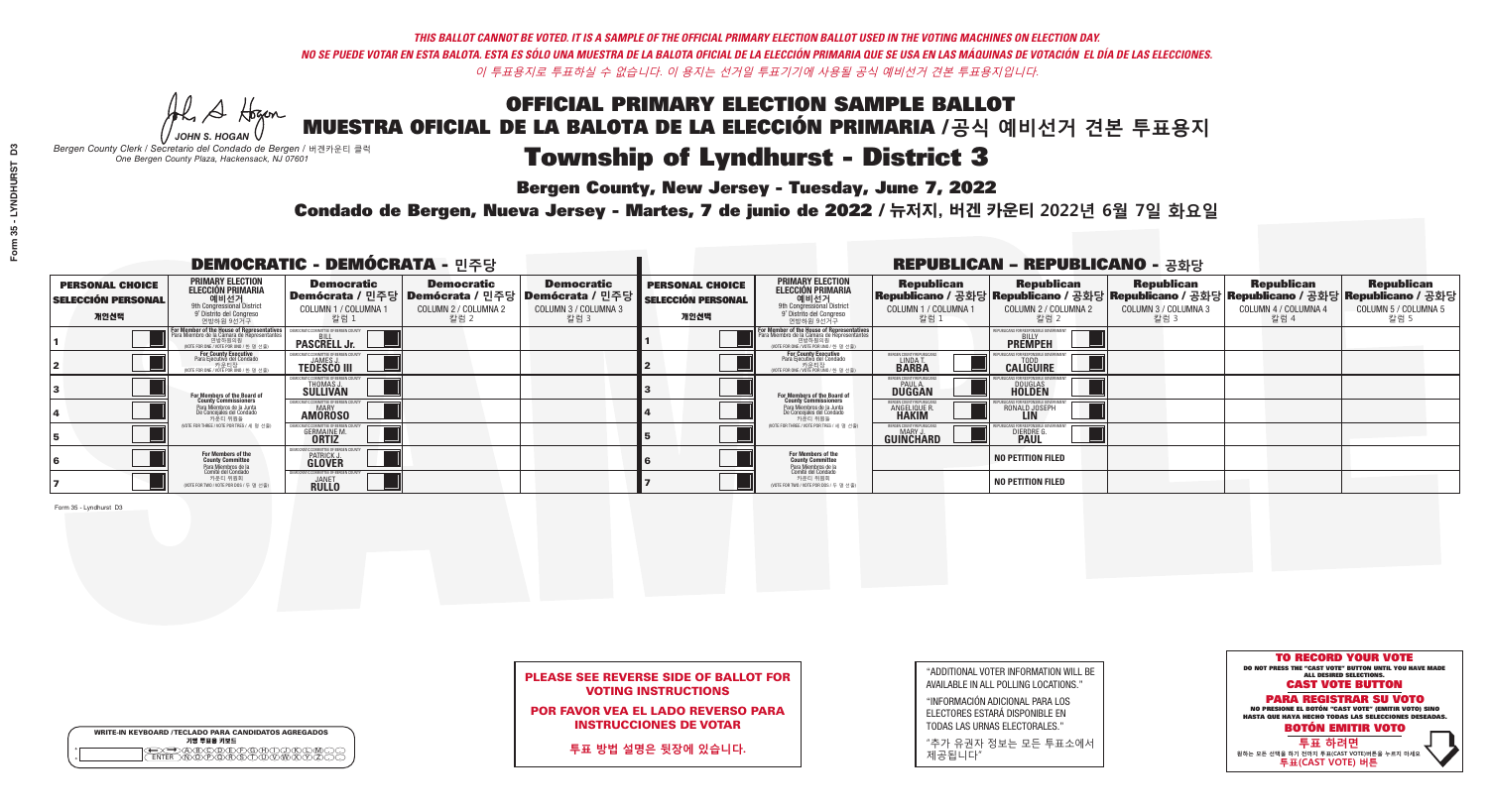A Hogan *JOHN S. HOGAN*

|         | <b>WRITE-IN KEYBOARD /TECLADO PARA CANDIDATOS AGREGADOS</b><br>기명 투표용 키보드 |  |
|---------|---------------------------------------------------------------------------|--|
| $\circ$ |                                                                           |  |

# Township of Lyndhurst - District 3

**Bergen County, New Jersey - Tuesday, June 7, 2022** 

*Bergen County Clerk / Secretario del Condado de Bergen /* 버겐카운티 클럭 *One Bergen County Plaza, Hackensack, NJ 07601*

Condado de Bergen, Nueva Jersey - Martes, 7 de junio de 2022 / 뉴저지, 버겐 카운티 2022년 6월 7일 화요일 *One Bergen County Plaza, Hackensack, NJ 07601*



### PLEASE SEE REVERSE SIDE OF BALLOT FOR VOTING INSTRUCTIONS

POR FAVOR VEA EL LADO REVERSO PARA INSTRUCCIONES DE VOTAR

**투표 방법 설명은 뒷장에 있습니다.**

| "ADDITIONAL VOTER INFORMATION WILL BE |
|---------------------------------------|
| AVAILABLE IN ALL POLLING LOCATIONS."  |
|                                       |

"INFORMACIÓN ADICIONAL PARA LOS ELECTORES ESTARÁ DISPONIBLE EN TODAS LAS URNAS ELECTORALES."

"추가 유권자 정보는 모든 투표소에서 제공됩니다"

| DEMOCRATIC - DEMÓCRATA - 민주당                                |                                                                                                                                                   |                                                                 |                                                   |                                                                                                          |                                                             |                                                                                                                                               |                                                              | <b>REPUBLICAN - REPUBLICANO - 공화당</b>                                                                                                            |                                                   |                                                   |                                                   |
|-------------------------------------------------------------|---------------------------------------------------------------------------------------------------------------------------------------------------|-----------------------------------------------------------------|---------------------------------------------------|----------------------------------------------------------------------------------------------------------|-------------------------------------------------------------|-----------------------------------------------------------------------------------------------------------------------------------------------|--------------------------------------------------------------|--------------------------------------------------------------------------------------------------------------------------------------------------|---------------------------------------------------|---------------------------------------------------|---------------------------------------------------|
| <b>PERSONAL CHOICE</b><br><b>SELECCIÓN PERSONAL</b><br>개인선택 | <b>PRIMARY ELECTION</b><br>ELECCIÓN PRIMARIA<br>에비선거<br><sup>9th</sup> Congressional District<br><sup>9'</sup> Distrito del Congreso<br>연방하원 9선거구 | <b>Democratic</b><br>COLUMN 1 / COLUMNA<br>칼럼 1                 | <b>Democratic</b><br>COLUMN 2 / COLUMNA 2<br>칼럼 2 | <b>Democratic</b><br>Demócrata / 민주당   Demócrata / 민주당   Demócrata / 민주당<br>COLUMN 3 / COLUMNA 3<br>칼럼 3 | <b>PERSONAL CHOICE</b><br><b>SELECCIÓN PERSONAL</b><br>개인선택 | <b>PRIMARY ELECTION</b><br>ELECCIÓN PRIMARIA<br>애비선거<br><sup>9th</sup> Congressional District<br>º Distrito del Congreso<br>연방하원 9선거구         | <b>Republican</b><br>COLUMN 1 / COLUMNA 1<br>'칼럼 ∶           | <b>Republican</b><br>Republicano / 공화당 Republicano / 공화당 Republicano / 공화당 Republicano / 공화당 Republicano / 공화당<br>COLUMN 2 / COLUMNA 2<br>- 칼럼 2 | <b>Republican</b><br>COLUMN 3 / COLUMNA 3<br>칼럼 3 | <b>Republican</b><br>COLUMN 4 / COLUMNA 4<br>칼럼 4 | <b>Republican</b><br>COLUMN 5 / COLUMNA 5<br>칼럼 5 |
|                                                             | For Member of the House of Representatives<br>Para Miembro de la Cámara de Representantes<br>연방하원의원<br>(VOTE FOR ONE / VOTE POR UNO / 한 명 선출)     | <b>PASCRELL Jr.</b>                                             |                                                   |                                                                                                          |                                                             | For Member of the House of Representatives<br>Para Miembro de la Cámara de Representantes<br>연방하원의원<br>(VOTE FOR ONE / VOTE POR UNO / 한 명 선출) |                                                              | <b>PREMPEH</b>                                                                                                                                   |                                                   |                                                   |                                                   |
|                                                             | For County Executive<br>Para Ejecutivo del Condado<br>가운티장<br>(VOTE FOR ONE / VOTE POR UNO / 한 명 선출)                                              | JEMOCRATIC COMMITTEE OF BERGE®<br><b>TEDESCO III</b>            |                                                   |                                                                                                          |                                                             | <b>For County Executive</b><br>Para Ejecutivo del Condado<br>7 카운티장<br>(VOTE FOR ONE / VOTE POR UNO / 한 명 선출)                                 | BERGEN COUNTY REPUBLIC<br>LINDAT.                            | <b>CALIGUIRE</b>                                                                                                                                 |                                                   |                                                   |                                                   |
|                                                             | <b>For Members of the Board of<br/>County Commissioners</b>                                                                                       | <b>THOMAS J.</b><br><b>SULLIVAN</b>                             |                                                   |                                                                                                          |                                                             | <b>For Members of the Board of</b><br>County Commissioners                                                                                    | ERGEN COUNTY REPUBLICA<br><b>DUGGAN</b>                      | <b>DOUGLAS</b>                                                                                                                                   |                                                   |                                                   |                                                   |
|                                                             | Para Miembros de la Junta<br>De Concejales del Condado<br>카운티 위원들                                                                                 | RATIC COMMITTEE OF BERGEN COUN<br><b>MARY</b><br><b>AMOROSO</b> |                                                   |                                                                                                          |                                                             | Para Miembros de la Junta<br>De Concejales del Condado<br>카운티 위원들                                                                             | <b>ERGEN COUNTY REPUBLICAN</b><br>ANGELIQUE R                | RONALD JOSEPH                                                                                                                                    |                                                   |                                                   |                                                   |
|                                                             | (VOTE FOR THREE / VOTE POR TRES / 세 명 선출)                                                                                                         | <b>GERMAINE M.</b><br><b>ORTIZ</b>                              |                                                   |                                                                                                          |                                                             | (VOTE FOR THREE / VOTE POR TRES / 세 명 선출)                                                                                                     | ERGEN COUNTY REPUBLICAN<br><b>MARY J</b><br><b>GUINCHARD</b> | <b>DIERDRE</b>                                                                                                                                   |                                                   |                                                   |                                                   |
|                                                             | For Members of the<br>County Committee<br>Para Miembros de la<br>Comité del Condado                                                               | 10CRATIC COMMITTEE OF BERGEN (<br>PATRICK J.                    |                                                   |                                                                                                          |                                                             | For Members of the<br>County Committee<br>Para Miembros de la<br>Comité del Condado                                                           |                                                              | <b>NO PETITION FILED</b>                                                                                                                         |                                                   |                                                   |                                                   |
|                                                             | 카운티 위원회<br>(VOTE FOR TWO / VOTE POR DOS / 두 명 선출)                                                                                                 | RATIC COMMITTEE OF BERGEN CO<br><b>JANET</b><br><b>RULLO</b>    |                                                   |                                                                                                          |                                                             | 카운티 위원회<br>(VOTE FOR TWO / VOTE POR DOS / 두 명 선출)                                                                                             |                                                              | <b>NO PETITION FILED</b>                                                                                                                         |                                                   |                                                   |                                                   |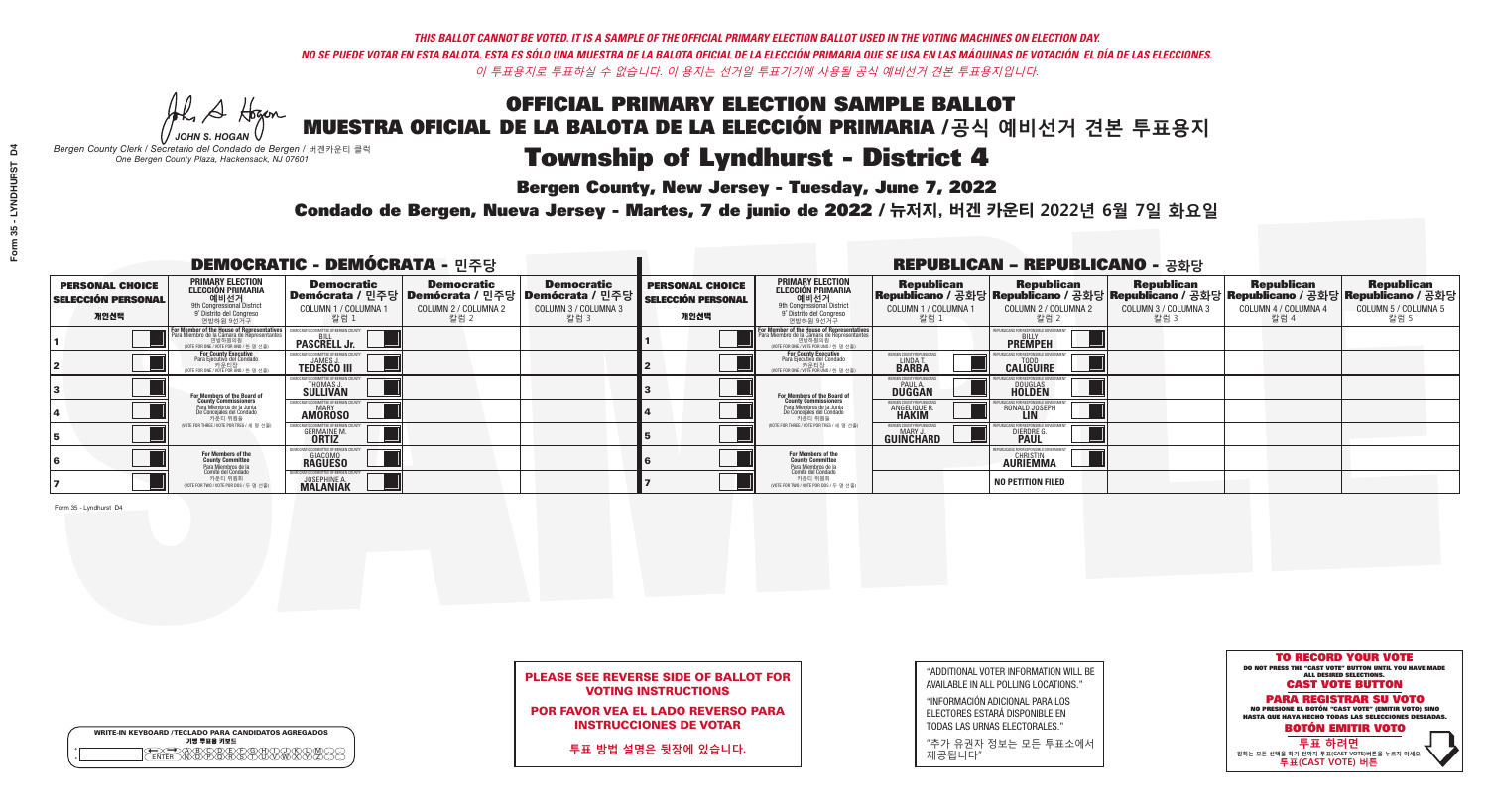Al Stogan *JOHN S. HOGAN*

| <b>WRITE-IN KEYBOARD /TECLADO PARA CANDIDATOS AGREGADOS</b><br>기명 투표용 키보드 |
|---------------------------------------------------------------------------|
|                                                                           |

## Township of Lyndhurst - District 4

**Bergen County, New Jersey - Tuesday, June 7, 2022** 

*Bergen County Clerk / Secretario del Condado de Bergen /* 버겐카운티 클럭 *One Bergen County Plaza, Hackensack, NJ 07601*

Condado de Bergen, Nueva Jersey - Martes, 7 de junio de 2022 / 뉴저지, 버겐 카운티 2022년 6월 7일 화요일 *One Bergen County Plaza, Hackensack, NJ 07601*



### PLEASE SEE REVERSE SIDE OF BALLOT FOR VOTING INSTRUCTIONS

POR FAVOR VEA EL LADO REVERSO PARA INSTRUCCIONES DE VOTAR

**투표 방법 설명은 뒷장에 있습니다.**

| "ADDITIONAL VOTER INFORMATION WILL BE |
|---------------------------------------|
| AVAILABLE IN ALL POLLING LOCATIONS."  |

"INFORMACIÓN ADICIONAL PARA LOS ELECTORES ESTARÁ DISPONIBLE EN TODAS LAS URNAS ELECTORALES."

"추가 유권자 정보는 모든 투표소에서 제공됩니다"

| <b>DEMOCRATIC - DEMÓCRATA - 민주당</b>                         |                                                                                                                                                   |                                                             |                                                   |                                                                                                      |                                                             |                                                                                                                                                      |                                                             | <b>REPUBLICAN - REPUBLICANO - 공화당</b>                                                                                                           |                                                   |                                                   |                                                   |
|-------------------------------------------------------------|---------------------------------------------------------------------------------------------------------------------------------------------------|-------------------------------------------------------------|---------------------------------------------------|------------------------------------------------------------------------------------------------------|-------------------------------------------------------------|------------------------------------------------------------------------------------------------------------------------------------------------------|-------------------------------------------------------------|-------------------------------------------------------------------------------------------------------------------------------------------------|---------------------------------------------------|---------------------------------------------------|---------------------------------------------------|
| <b>PERSONAL CHOICE</b><br><b>SELECCIÓN PERSONAL</b><br>개인선택 | PRIMARY ELECTION<br><b>ELECCIÓN PRIMARIA</b><br>애비선거<br><sup>9th</sup> Congressional District<br><sup>9°</sup> Distrito del Congreso<br>연방하원 9선거구 | <b>Democratic</b><br>COLUMN 1 / COLUMNA 1<br>_ 칼럼 1         | <b>Democratic</b><br>COLUMN 2 / COLUMNA 2<br>칼럼 2 | <b>Democratic</b><br>Demócrata / 민주당 Demócrata / 민주당 Demócrata / 민주당<br>COLUMN 3 / COLUMNA 3<br>칼럼 3 | <b>PERSONAL CHOICE</b><br><b>SELECCIÓN PERSONAL</b><br>개인선택 | <b>PRIMARY ELECTION</b><br>ELECCIÓN PRIMARIA<br>예비선거<br><sup>9th</sup> Congressional District<br><sup>9'</sup> Distrito del Congreso<br>연방하원 9선거구    | <b>Republican</b><br>COLUMN 1 / COLUMNA 1<br>, 칼럼 :         | <b>Republican</b><br>Republicano / 공화당 Republicano / 공화당 Republicano / 공화당 Republicano / 공화당 Republicano / 공화당<br>COLUMN 2 / COLUMNA 2<br>-칼럼 2 | <b>Republican</b><br>COLUMN 3 / COLUMNA 3<br>칼럼 3 | <b>Republican</b><br>COLUMN 4 / COLUMNA 4<br>칼럼 4 | <b>Republican</b><br>COLUMN 5 / COLUMNA 5<br>칼럼 5 |
|                                                             | For Member of the House of Representative:<br>Para Miembro de la Cámara de Representantes                                                         | <b>PASCRELL Jr.</b>                                         |                                                   |                                                                                                      |                                                             | <b>For Member of the House of Representatives</b><br>Para Miembro de la Cámara de Representantes<br>연방하원의원<br>(VOTE FOR ONE / VOTE POR UNO / 한 명 선출) |                                                             | <b>PREMPEH</b>                                                                                                                                  |                                                   |                                                   |                                                   |
|                                                             | <b>For County Executive</b><br>Para Ejecutivo del Condado<br>VOTE FOR ONE / VOTE POR UNO / 한 명 선출)                                                | <b>TEDESCO III</b>                                          |                                                   |                                                                                                      |                                                             | For County Executive<br>Para Ejecutivo del Condado<br>NOTE FOR ONE / VOTE POR UNO / 한 명 선출)                                                          | ERGEN COUNTY REPUBLICA<br>LINDA T.                          | <b>CALIGUIRE</b>                                                                                                                                |                                                   |                                                   |                                                   |
|                                                             | For Members of the Board of<br>County Commissioners                                                                                               | EMOCRATIC COMMITTEE OF BERGEN C<br>THOMAS J.<br>SULLIVAN    |                                                   |                                                                                                      |                                                             | For Members of the Board of<br>County Commissioners                                                                                                  | BERGEN COUNTY REPUBLICAN<br><b>PAUL A.</b><br><b>DUGGAN</b> | <b>DOUGLAS</b>                                                                                                                                  |                                                   |                                                   |                                                   |
|                                                             | Para Miembros de la Junta<br>De Concejales del Condado<br>카운티 위원들                                                                                 | <b>IOCRATIC COMMITTEE OF BERGEN COUNT</b><br><b>AMOROSO</b> |                                                   |                                                                                                      |                                                             | Para Miembros de la Junta<br>De Concejales del Condado<br>카운티 위원들                                                                                    | ERGEN COUNTY REPUBLICAN<br><b>ANGELIQUE R</b>               | RONALD JOSEPH<br><b>LIN</b>                                                                                                                     |                                                   |                                                   |                                                   |
|                                                             | NOTE FOR THREE / VOTE POR TRES / 세 명 선출)                                                                                                          | <b>GERMAINE M.</b>                                          |                                                   |                                                                                                      |                                                             | (VOTE FOR THREE / VOTE POR TRES / 세 명 선출)                                                                                                            | BERGEN COUNTY REPUBLICAN<br>MARY J<br>GUINCHARD             | <b>DIERDRE</b>                                                                                                                                  |                                                   |                                                   |                                                   |
|                                                             | For Members of the<br>County Committee<br>Para Miembros de la<br>Comité del Condado                                                               | MOCRATIC COMMITTEE OF BERGEN CO<br><b>RAGUESO</b>           |                                                   |                                                                                                      |                                                             | For Members of the<br>County Committee                                                                                                               |                                                             | 'UBI ICANS FOR RESPONSIBI E GOVERNI<br><b>CHRISTIN</b><br><b>AURIEMMA</b>                                                                       |                                                   |                                                   |                                                   |
|                                                             | 카운티 위원회<br>NOTE FOR TWO / VOTE POR DOS / 두 명 선출)                                                                                                  | JOSEPHINE A.<br><b>MALANIAK</b>                             |                                                   |                                                                                                      |                                                             | Para Miembros de la<br>Comité del Condado<br>카운티 위원회<br>NOTE FOR TWO / VOTE POR DOS / 두 명 선출)                                                        |                                                             | <b>NO PETITION FILED</b>                                                                                                                        |                                                   |                                                   |                                                   |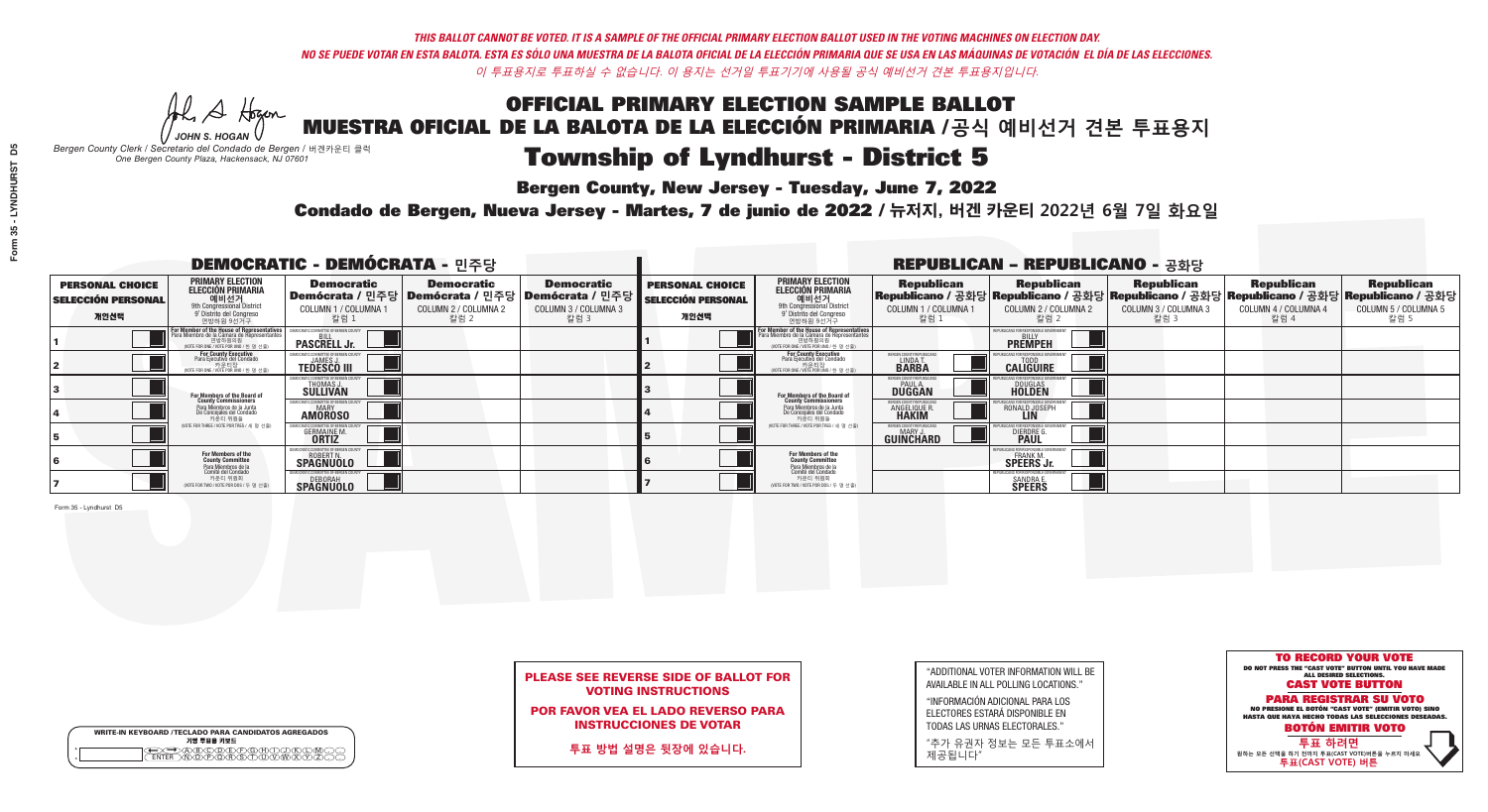Al Stogan *JOHN S. HOGAN*

| <b>WRITE-IN KEYBOARD /TECLADO PARA CANDIDATOS AGREGADOS</b><br>기명 투표용 키보드 |
|---------------------------------------------------------------------------|
| )(B)C)(D)(E)(F)(G)(H                                                      |

# Township of Lyndhurst - District 5

**Bergen County, New Jersey - Tuesday, June 7, 2022** 

*Bergen County Clerk / Secretario del Condado de Bergen /* 버겐카운티 클럭 *One Bergen County Plaza, Hackensack, NJ 07601*



### PLEASE SEE REVERSE SIDE OF BALLOT FOR VOTING INSTRUCTIONS

POR FAVOR VEA EL LADO REVERSO PARA INSTRUCCIONES DE VOTAR

**투표 방법 설명은 뒷장에 있습니다.**

"ADDITIONAL VOTER INFORMATION WILL BE AVAILABLE IN ALL POLLING LOCATIONS."

"INFORMACIÓN ADICIONAL PARA LOS ELECTORES ESTARÁ DISPONIBLE EN TODAS LAS URNAS ELECTORALES."

"추가 유권자 정보는 모든 투표소에서 제공됩니다"

Condado de Bergen, Nueva Jersey - Martes, 7 de junio de 2022 / 뉴저지, 버겐 카운티 2022년 6월 7일 화요일 *One Bergen County Plaza, Hackensack, NJ 07601*

|                                                             |                                                                                                                                                               | <b>DEMOCRATIC - DEMÓCRATA - 민주당</b>                                    |                                                   |                                                                                                      | <b>REPUBLICAN - REPUBLICANO - 공화당</b>                       |                                                                                                                                                   |                                                     |                                                                                                                                                 |                                                   |                                                   |                                                   |  |
|-------------------------------------------------------------|---------------------------------------------------------------------------------------------------------------------------------------------------------------|------------------------------------------------------------------------|---------------------------------------------------|------------------------------------------------------------------------------------------------------|-------------------------------------------------------------|---------------------------------------------------------------------------------------------------------------------------------------------------|-----------------------------------------------------|-------------------------------------------------------------------------------------------------------------------------------------------------|---------------------------------------------------|---------------------------------------------------|---------------------------------------------------|--|
| <b>PERSONAL CHOICE</b><br><b>SELECCIÓN PERSONAL</b><br>개인선택 | PRIMARY ELECTION<br><b>ELECCIÓN PRIMARIA</b><br>9th Congressional District<br>9th Congressional District<br>9 <sup>t</sup> Distrito del Congreso<br>연방하원 9선거구 | <b>Democratic</b><br>COLUMN 1 / COLUMNA 1<br>칼럼 1                      | <b>Democratic</b><br>COLUMN 2 / COLUMNA 2<br>칼럼 2 | <b>Democratic</b><br>Demócrata / 민주당 Demócrata / 민주당 Demócrata / 민주당<br>COLUMN 3 / COLUMNA 3<br>칼럼 3 | <b>PERSONAL CHOICE</b><br><b>SELECCIÓN PERSONAL</b><br>개인선택 | <b>PRIMARY ELECTION</b><br>ELECCIÓN PRIMARIA<br>예비선거<br><sup>9th</sup> Congressional District<br><sup>9'</sup> Distrito del Congreso<br>연방하원 9선거구 | <b>Republican</b><br>COLUMN 1 / COLUMNA 1<br>"칼럼 1  | <b>Republican</b><br>Republicano / 공화당 Republicano / 공화당 Republicano / 공화당 Republicano / 공화당 Republicano / 공화당<br>COLUMN 2 / COLUMNA 2<br>-칼럼 2 | <b>Republican</b><br>COLUMN 3 / COLUMNA 3<br>칼럼 3 | <b>Republican</b><br>COLUMN 4 / COLUMNA 4<br>칼럼 4 | <b>Republican</b><br>COLUMN 5 / COLUMNA 5<br>칼럼 5 |  |
|                                                             | For Member of the House of Representatives<br>Para Miembro de la Cámara de Representantes<br>(VOTE FOR ONE / VOTE POR UNO / 한 명 선출)                           | <b>PASCRELL Jr.</b>                                                    |                                                   |                                                                                                      |                                                             | F <mark>or Member of the House of Representatives</mark><br>Para Miembro de la Cámara de Representantes<br>NOTE FOR ONE / VOTE POR UNO / 한 명 선출)  |                                                     | PUBLICANS FOR RESPONSIBLE GOVERNMEN<br><b>PREMPEH</b>                                                                                           |                                                   |                                                   |                                                   |  |
|                                                             | <b>For County Executive</b><br>Para Ejecutivo del Condado<br>가운티장<br>(VOTE FOR ONE / VOTE POR UNO / 한 명 선출)                                                   | <b>TEDESCO III</b>                                                     |                                                   |                                                                                                      |                                                             | For County Executive<br>Para Ejecutivo del Condado<br>7) 카운티장<br>(VOTE FOR ONE / VOTE POR UNO / 한 명 선출)                                           | BERGEN COUNTY REPUBLICA<br>LINDA T.<br><b>BARBA</b> | <b>CALIGUIRE</b>                                                                                                                                |                                                   |                                                   |                                                   |  |
|                                                             | <b>For Members of the Board of<br/>County Commissioners</b>                                                                                                   | VIOCRATIC COMMITTEE OF BERGEN C<br><b>THOMAS J.</b><br><b>SULLIVAN</b> |                                                   |                                                                                                      |                                                             | For Members of the Board of<br>County Commissioners                                                                                               | BERGEN COUNTY REPUBLICAN<br><b>DUGGAN</b>           | <b>DOUGLAS</b><br><b>HOLDEN</b>                                                                                                                 |                                                   |                                                   |                                                   |  |
|                                                             | Para Miembros de la Junta<br>De Concejales del Condado<br>카운티 위원들                                                                                             | MOCRATIC COMMITTEE OF BEBGEN COUNT<br><b>AMOROSO</b>                   |                                                   |                                                                                                      |                                                             | Para Miembros de la Junta<br>De Concejales del Condado<br>카운티 위원들                                                                                 | ERGEN COUNTY REPUBLICAN<br><b>ANGELIQUE R</b>       | RONALD JOSEPH<br><b>LIN</b>                                                                                                                     |                                                   |                                                   |                                                   |  |
|                                                             | NOTE FOR THREE / VOTE POR TRES / 세 명 선출)                                                                                                                      | <b>GERMAINE M.</b>                                                     |                                                   |                                                                                                      |                                                             | (VOTE FOR THREE / VOTE POR TRES / 세 명 선출)                                                                                                         | BERGEN COUNTY REPUBLICAN<br>MARY J<br>GUINCHARD     | <b>DIERDRE</b>                                                                                                                                  |                                                   |                                                   |                                                   |  |
|                                                             | For Members of the<br>County Committee                                                                                                                        | MOCRATIC COMMITTEE OF BERGEN COUNTY<br><b>SPAGNUOLO</b>                |                                                   |                                                                                                      |                                                             | For Members of the<br>County Committee                                                                                                            |                                                     | 'UBI ICANS FOR RESPONSIBI E GOVERNMEN<br><b>SPEERS Jr.</b>                                                                                      |                                                   |                                                   |                                                   |  |
|                                                             | Para Miembros de la<br>Comité del Condado<br>카운티 위원회<br>NOTE FOR TWO / VOTE POR DOS / 두 명 선출)                                                                 | <b>SPAGNUOLO</b>                                                       |                                                   |                                                                                                      |                                                             | Para Miembros de la<br>Comité del Condado<br>카운티 위원회<br>(VOTE FOR TWO / VOTE POR DOS / 두 명 선출)                                                    |                                                     | PUBI ICANS FOR RESPONSIBI E G<br><b>SANDRA E.</b><br><b>SPEERS</b>                                                                              |                                                   |                                                   |                                                   |  |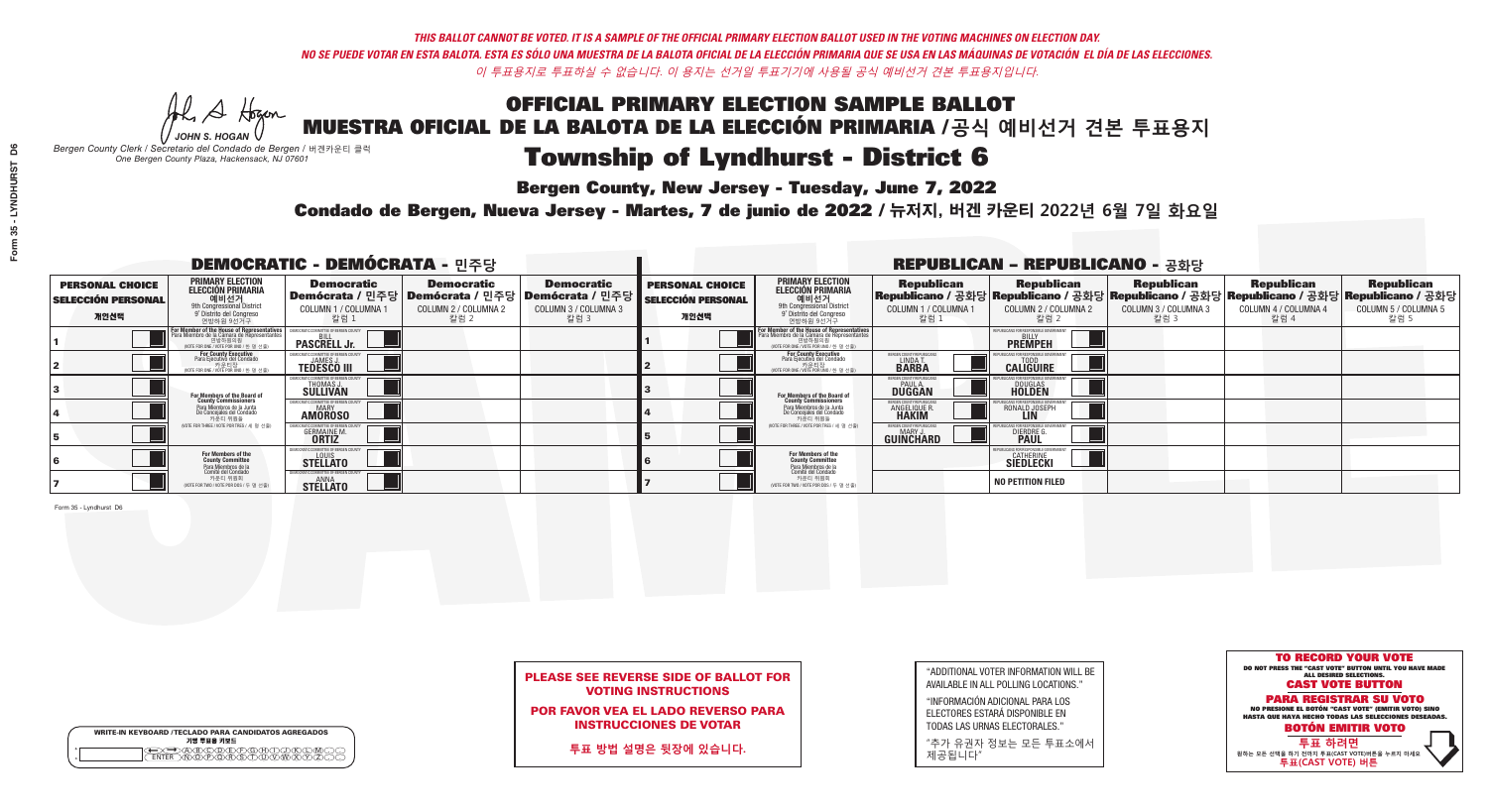**Bergen County, New Jersey - Tuesday, June 7, 2022** 

Al Stogan *JOHN S. HOGAN*

| <b>WRITE-IN KEYBOARD /TECLADO PARA CANDIDATOS AGREGADOS</b><br>기명 투표용 키보드 |
|---------------------------------------------------------------------------|
|                                                                           |

*Bergen County Clerk / Secretario del Condado de Bergen /* 버겐카운티 클럭 *One Bergen County Plaza, Hackensack, NJ 07601*

Condado de Bergen, Nueva Jersey - Martes, 7 de junio de 2022 / 뉴저지, 버겐 카운티 2022년 6월 7일 화요일 *One Bergen County Plaza, Hackensack, NJ 07601*



### PLEASE SEE REVERSE SIDE OF BALLOT FOR VOTING INSTRUCTIONS

POR FAVOR VEA EL LADO REVERSO PARA INSTRUCCIONES DE VOTAR

**투표 방법 설명은 뒷장에 있습니다.**

| "ADDITIONAL VOTER INFORMATION WILL BE |
|---------------------------------------|
| AVAILABLE IN ALL POLLING LOCATIONS."  |
|                                       |

"INFORMACIÓN ADICIONAL PARA LOS ELECTORES ESTARÁ DISPONIBLE EN TODAS LAS URNAS ELECTORALES."

"추가 유권자 정보는 모든 투표소에서 제공됩니다"

| <b>DEMOCRATIC - DEMÓCRATA - 민주당</b>                         |                                                                                                                                                               |                                                                        |                                                   |                                                                                                      | <b>REPUBLICAN - REPUBLICANO - 공화당</b>                       |                                                                                                                                                   |                                                             |                                                                                                                                                 |                                                   |                                                   |                                                   |  |
|-------------------------------------------------------------|---------------------------------------------------------------------------------------------------------------------------------------------------------------|------------------------------------------------------------------------|---------------------------------------------------|------------------------------------------------------------------------------------------------------|-------------------------------------------------------------|---------------------------------------------------------------------------------------------------------------------------------------------------|-------------------------------------------------------------|-------------------------------------------------------------------------------------------------------------------------------------------------|---------------------------------------------------|---------------------------------------------------|---------------------------------------------------|--|
| <b>PERSONAL CHOICE</b><br><b>SELECCIÓN PERSONAL</b><br>개인선택 | PRIMARY ELECTION<br><b>ELECCIÓN PRIMARIA</b><br>9th Congressional District<br>9th Congressional District<br>9 <sup>t</sup> Distrito del Congreso<br>연방하원 9선거구 | <b>Democratic</b><br>COLUMN 1 / COLUMNA 1<br>칼럼 1                      | <b>Democratic</b><br>COLUMN 2 / COLUMNA 2<br>칼럼 2 | <b>Democratic</b><br>Demócrata / 민주당 Demócrata / 민주당 Demócrata / 민주당<br>COLUMN 3 / COLUMNA 3<br>칼럼 3 | <b>PERSONAL CHOICE</b><br><b>SELECCIÓN PERSONAL</b><br>개인선택 | <b>PRIMARY ELECTION</b><br>ELECCIÓN PRIMARIA<br>예비선거<br><sup>9th</sup> Congressional District<br><sup>9'</sup> Distrito del Congreso<br>연방하원 9선거구 | <b>Republican</b><br>COLUMN 1 / COLUMNA 1<br>"칼럼 1          | <b>Republican</b><br>Republicano / 공화당 Republicano / 공화당 Republicano / 공화당 Republicano / 공화당 Republicano / 공화당<br>COLUMN 2 / COLUMNA 2<br>-칼럼 2 | <b>Republican</b><br>COLUMN 3 / COLUMNA 3<br>칼럼 3 | <b>Republican</b><br>COLUMN 4 / COLUMNA 4<br>칼럼 4 | <b>Republican</b><br>COLUMN 5 / COLUMNA 5<br>칼럼 5 |  |
|                                                             | For Member of the House of Representative.<br>Para Miembro de la Cámara de Representantes<br>(VOTE FOR ONE / VOTE POR UNO / 한 명 선출)                           | <b>PASCRELL Jr.</b>                                                    |                                                   |                                                                                                      |                                                             | F <mark>or Member of the House of Representatives</mark><br>Para Miembro de la Cámara de Representantes                                           |                                                             | PUBLICANS FOR RESPONSIBLE GOVERNMEN<br><b>PREMPEH</b>                                                                                           |                                                   |                                                   |                                                   |  |
|                                                             | <b>For County Executive</b><br>Para Ejecutivo del Condado<br>가운티장<br>(VOTE FOR ONE / VOTE POR UNO / 한 명 선출)                                                   | <b>TEDESCO III</b>                                                     |                                                   |                                                                                                      |                                                             | <b>For County Executive</b><br>Para Ejecutivo del Condado<br>7) 카운티장<br>(VOTE FOR ONE / VOTE POR UNO / 한 명 선출)                                    | BERGEN COUNTY REPUBLICA<br>LINDAT<br><b>BARBA</b>           | <b>CALIGUIRE</b>                                                                                                                                |                                                   |                                                   |                                                   |  |
|                                                             | <b>For Members of the Board of<br/>County Commissioners</b>                                                                                                   | VIOCRATIC COMMITTEE OF BERGEN (<br><b>THOMAS J.</b><br><b>SULLIVAN</b> |                                                   |                                                                                                      |                                                             | For Members of the Board of<br>County Commissioners                                                                                               | BERGEN COUNTY REPUBLICAN<br><b>PAUL A.</b><br><b>DUGGAN</b> | <b>DOUGLAS</b>                                                                                                                                  |                                                   |                                                   |                                                   |  |
|                                                             | Para Miembros de la Junta<br>De Concejales del Condado<br>카운티 위원들                                                                                             | MOCRATIC COMMITTEE OF BEBGEN COUNT<br><b>AMOROSO</b>                   |                                                   |                                                                                                      |                                                             | Para Miembros de la Junta<br>De Concejales del Condado<br>카운티 위원들<br>(VOTE FOR THREE / VOTE POR TRES / 세 명 선출)                                    | ERGEN COUNTY REPUBLICAN<br><b>ANGELIQUE R</b>               | RONALD JOSEPH<br><b>LIN</b>                                                                                                                     |                                                   |                                                   |                                                   |  |
|                                                             | NOTE FOR THREE / VOTE POR TRES / 세 명 선출)                                                                                                                      | <b>GERMAINE M.</b>                                                     |                                                   |                                                                                                      |                                                             |                                                                                                                                                   | BERGEN COUNTY REPUBLICAN<br>MARY J<br>GUINCHARD             | <b>DIERDRE</b>                                                                                                                                  |                                                   |                                                   |                                                   |  |
|                                                             | For Members of the<br>County Committee<br>Para Miembros de la<br>Comité del Condado                                                                           | MOCRATIC COMMITTEE OF BERGEN COUNT<br><b>STELLATO</b>                  |                                                   |                                                                                                      |                                                             | For Members of the<br>County Committee                                                                                                            |                                                             | JBI ICANS FOR RESPONSIBI E GOVERNMEN<br><b>CATHERINE</b><br><b>SIEDLECKI</b>                                                                    |                                                   |                                                   |                                                   |  |
|                                                             | 카운티 위원회<br>NOTE FOR TWO / VOTE POR DOS / 두 명 선출)                                                                                                              | ANNA<br><b>STELLATO</b>                                                |                                                   |                                                                                                      |                                                             | Para Miembros de la<br>Comité del Condado<br>카운티 위원회<br>(VOTE FOR TWO / VOTE POR DOS / 두 명 선출)                                                    |                                                             | <b>NO PETITION FILED</b>                                                                                                                        |                                                   |                                                   |                                                   |  |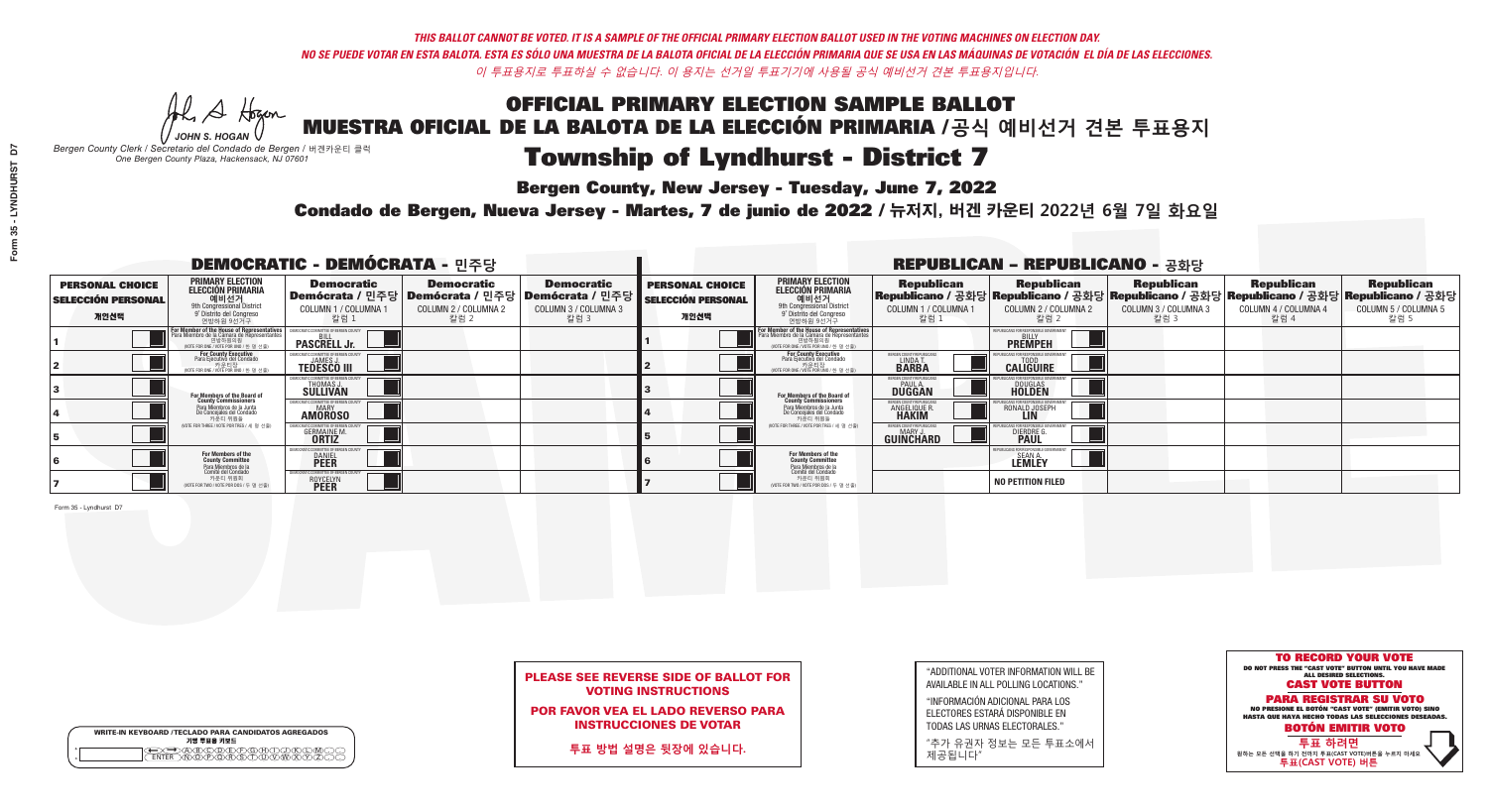Al Stogan *JOHN S. HOGAN*

| <b>WRITE-IN KEYBOARD /TECLADO PARA CANDIDATOS AGREGADOS</b><br>기명 투표용 키보드 |
|---------------------------------------------------------------------------|
| )(B)C)(D)(E)(F)(G)(H)(                                                    |

# Township of Lyndhurst - District 7

**Bergen County, New Jersey - Tuesday, June 7, 2022** 

*Bergen County Clerk / Secretario del Condado de Bergen /* 버겐카운티 클럭 *One Bergen County Plaza, Hackensack, NJ 07601*

Condado de Bergen, Nueva Jersey - Martes, 7 de junio de 2022 / 뉴저지, 버겐 카운티 2022년 6월 7일 화요일 *One Bergen County Plaza, Hackensack, NJ 07601*



### PLEASE SEE REVERSE SIDE OF BALLOT FOR VOTING INSTRUCTIONS

POR FAVOR VEA EL LADO REVERSO PARA INSTRUCCIONES DE VOTAR

**투표 방법 설명은 뒷장에 있습니다.**

| "ADDITIONAL VOTER INFORMATION WILL BE |
|---------------------------------------|
| AVAILABLE IN ALL POLLING LOCATIONS."  |
|                                       |

"INFORMACIÓN ADICIONAL PARA LOS ELECTORES ESTARÁ DISPONIBLE EN TODAS LAS URNAS ELECTORALES."

"추가 유권자 정보는 모든 투표소에서 제공됩니다"

|                                                             |                                                                                                                                                   | <b>DEMOCRATIC - DEMÓCRATA - 민주당</b>                                   |                                                   |                                                                                                      | <b>REPUBLICAN - REPUBLICANO - 공화당</b>                       |                                                                                                                                                      |                                                             |                                                                                                                                                   |                                                   |                                                   |                                                   |  |
|-------------------------------------------------------------|---------------------------------------------------------------------------------------------------------------------------------------------------|-----------------------------------------------------------------------|---------------------------------------------------|------------------------------------------------------------------------------------------------------|-------------------------------------------------------------|------------------------------------------------------------------------------------------------------------------------------------------------------|-------------------------------------------------------------|---------------------------------------------------------------------------------------------------------------------------------------------------|---------------------------------------------------|---------------------------------------------------|---------------------------------------------------|--|
| <b>PERSONAL CHOICE</b><br><b>SELECCIÓN PERSONAL</b><br>개인선택 | PRIMARY ELECTION<br><b>ELECCIÓN PRIMARIA</b><br>애비선거<br><sup>9th</sup> Congressional District<br><sup>9°</sup> Distrito del Congreso<br>연방하원 9선거구 | <b>Democratic</b><br><b>COLUMN 1 / COLUMNA 1</b><br>_ 칼럼 1            | <b>Democratic</b><br>COLUMN 2 / COLUMNA 2<br>칼럼 2 | <b>Democratic</b><br>Demócrata / 민주당 Demócrata / 민주당 Demócrata / 민주당<br>COLUMN 3 / COLUMNA 3<br>칼럼 3 | <b>PERSONAL CHOICE</b><br><b>SELECCIÓN PERSONAL</b><br>개인선택 | <b>PRIMARY ELECTION</b><br>ELECCIÓN PRIMARIA<br>예비선거<br><sup>9th</sup> Congressional District<br><sup>9'</sup> Distrito del Congreso<br>연방하원 9선거구    | <b>Republican</b><br>COLUMN 1 / COLUMNA 1<br>, 칼럼 :         | <b>Republican</b><br> Republicano / 공화당 Republicano / 공화당 Republicano / 공화당 Republicano / 공화당 Republicano / 공화당 <br>COLUMN 2 / COLUMNA 2<br>-칼럼 2 | <b>Republican</b><br>COLUMN 3 / COLUMNA 3<br>칼럼 3 | <b>Republican</b><br>COLUMN 4 / COLUMNA 4<br>칼럼 4 | <b>Republican</b><br>COLUMN 5 / COLUMNA 5<br>칼럼 5 |  |
|                                                             | For Member of the House of Representative:<br>Para Miembro de la Cámara de Representantes                                                         | <b>PASCRELL Jr.</b>                                                   |                                                   |                                                                                                      |                                                             | <b>For Member of the House of Representatives</b><br>Para Miembro de la Cámara de Representantes<br>연방하원의원<br>(VOTE FOR ONE / VOTE POR UNO / 한 명 선출) |                                                             | <b>PREMPEH</b>                                                                                                                                    |                                                   |                                                   |                                                   |  |
|                                                             | <b>For County Executive</b><br>Para Ejecutivo del Condado<br>VOTE FOR ONE / VOTE POR UNO / 한 명 선출)                                                | <b>TEDESCO III</b>                                                    |                                                   |                                                                                                      |                                                             | For County Executive<br>Para Ejecutivo del Condado<br>WOTE FOR ONE / VOTE POR UNO / 한 명 선출)                                                          | BERGEN COUNTY REPUBLICA<br>LINDA T.                         | <b>CALIGUIRE</b>                                                                                                                                  |                                                   |                                                   |                                                   |  |
|                                                             | For Members of the Board of<br>County Commissioners                                                                                               | MOCRATIC COMMITTEE OF BERGEN (<br><b>THOMAS J.</b><br><b>SULLIVAN</b> |                                                   |                                                                                                      |                                                             | For Members of the Board of<br>County Commissioners                                                                                                  | BERGEN COUNTY REPUBLICAN<br><b>PAUL A.</b><br><b>DUGGAN</b> | <b>DOUGLAS</b>                                                                                                                                    |                                                   |                                                   |                                                   |  |
|                                                             | Para Miembros de la Junta<br>De Concejales del Condado<br>카운티 위원들                                                                                 | <b>IOCRATIC COMMITTEE OF BERGEN COUNT</b><br><b>AMOROSO</b>           |                                                   |                                                                                                      |                                                             | Para Miembros de la Junta<br>De Concejales del Condado<br>카운티 위원들                                                                                    | ERGEN COUNTY REPUBLICAN<br><b>ANGELIQUE R</b>               | RONALD JOSEPH<br><b>LIN</b>                                                                                                                       |                                                   |                                                   |                                                   |  |
|                                                             | (VOTE FOR THREE / VOTE POR TRES / 세 명 선출)                                                                                                         | <b>GERMAINE M.</b>                                                    |                                                   |                                                                                                      |                                                             | (VOTE FOR THREE / VOTE POR TRES / 세 명 선출)                                                                                                            | BERGEN COUNTY REPUBLICAN<br>MARY J<br>GUINCHARD             | <b>DIERDRE</b>                                                                                                                                    |                                                   |                                                   |                                                   |  |
|                                                             | For Members of the<br>County Committee                                                                                                            | MOCRATIC COMMITTEE OF BERGEN (<br><b>DANIEL</b><br><b>PEER</b>        |                                                   |                                                                                                      |                                                             | For Members of the<br>County Committee                                                                                                               |                                                             | JBI ICANS FOR RESPONSIBLE GO<br><b>LEMLEY</b>                                                                                                     |                                                   |                                                   |                                                   |  |
|                                                             | Para Miembros de la<br>Comité del Condado<br>카운티 위원회<br>NOTE FOR TWO / VOTE POR DOS / 두 명 선출)                                                     | TIC COMMITTEE OF BERGEN C<br><b>ROYCELYN</b>                          |                                                   |                                                                                                      |                                                             | Para Miembros de la<br>Comité del Condado<br>카운티 위원회<br>NOTE FOR TWO / VOTE POR DOS / 두 명 선출)                                                        |                                                             | <b>NO PETITION FILED</b>                                                                                                                          |                                                   |                                                   |                                                   |  |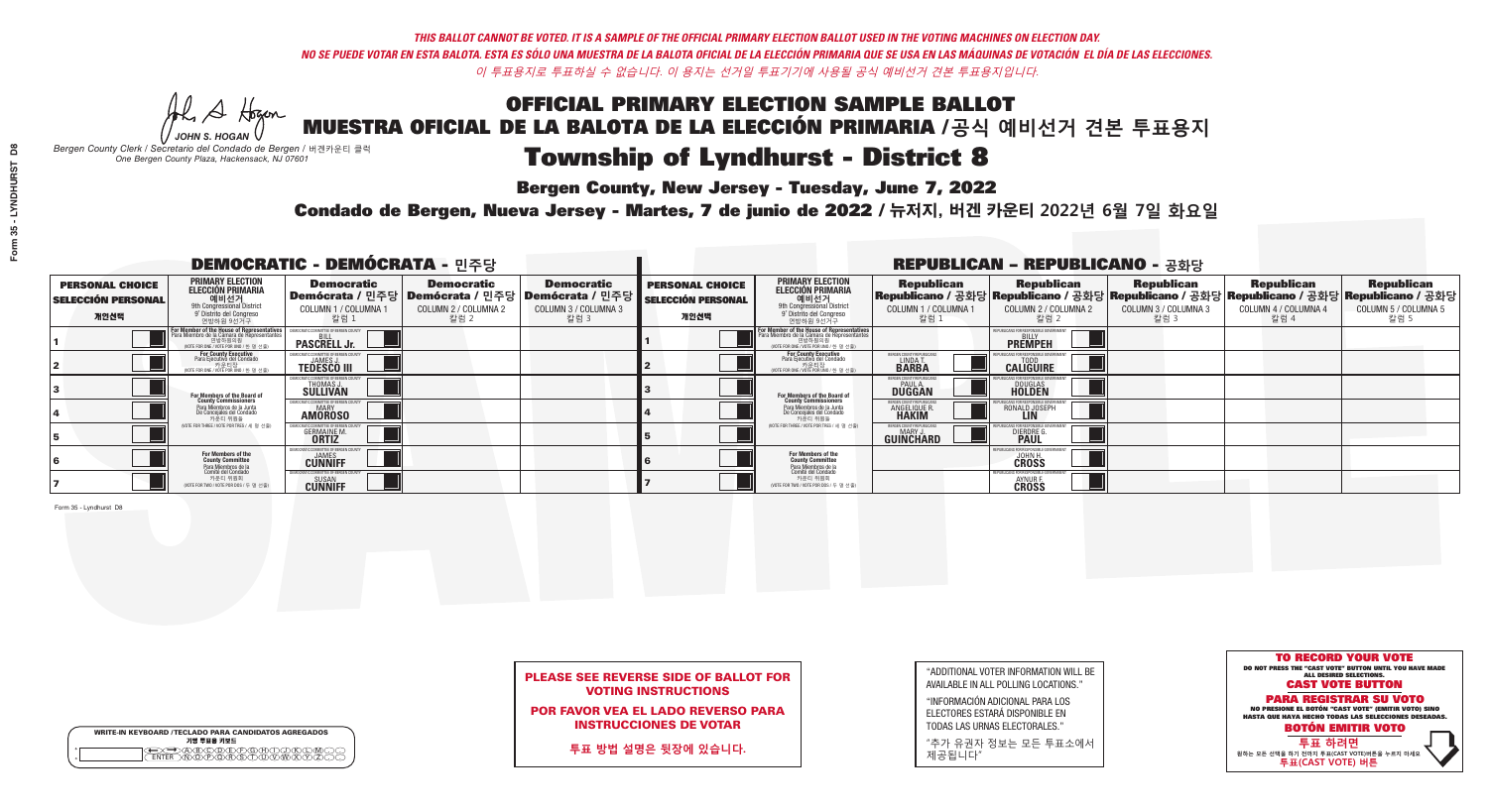He A Hogan *JOHN S. HOGAN*

| <b>WRITE-IN KEYBOARD /TECLADO PARA CANDIDATOS AGREGADOS</b><br>기명 투표용 키보드 |
|---------------------------------------------------------------------------|
|                                                                           |

# Township of Lyndhurst - District 8

**Bergen County, New Jersey - Tuesday, June 7, 2022** 

*Bergen County Clerk / Secretario del Condado de Bergen /* 버겐카운티 클럭 *One Bergen County Plaza, Hackensack, NJ 07601*



### PLEASE SEE REVERSE SIDE OF BALLOT FOR VOTING INSTRUCTIONS

POR FAVOR VEA EL LADO REVERSO PARA INSTRUCCIONES DE VOTAR

**투표 방법 설명은 뒷장에 있습니다.**

"ADDITIONAL VOTER INFORMATION WILL BE AVAILABLE IN ALL POLLING LOCATIONS."

"INFORMACIÓN ADICIONAL PARA LOS ELECTORES ESTARÁ DISPONIBLE EN TODAS LAS URNAS ELECTORALES."

"추가 유권자 정보는 모든 투표소에서 제공됩니다"

Condado de Bergen, Nueva Jersey - Martes, 7 de junio de 2022 / 뉴저지, 버겐 카운티 2022년 6월 7일 화요일 *One Bergen County Plaza, Hackensack, NJ 07601*

|                                                             |                                                                                                                                                   | <b>DEMOCRATIC - DEMÓCRATA - 민주당</b>                                   |                                                   |                                                                                                      | <b>REPUBLICAN - REPUBLICANO - 공화당</b>                       |                                                                                                                                                      |                                                             |                                                                                                                                                 |                                                   |                                                   |                                                   |  |
|-------------------------------------------------------------|---------------------------------------------------------------------------------------------------------------------------------------------------|-----------------------------------------------------------------------|---------------------------------------------------|------------------------------------------------------------------------------------------------------|-------------------------------------------------------------|------------------------------------------------------------------------------------------------------------------------------------------------------|-------------------------------------------------------------|-------------------------------------------------------------------------------------------------------------------------------------------------|---------------------------------------------------|---------------------------------------------------|---------------------------------------------------|--|
| <b>PERSONAL CHOICE</b><br><b>SELECCIÓN PERSONAL</b><br>개인선택 | PRIMARY ELECTION<br><b>ELECCIÓN PRIMARIA</b><br>애비선거<br><sup>9th</sup> Congressional District<br><sup>9°</sup> Distrito del Congreso<br>연방하원 9선거구 | <b>Democratic</b><br>COLUMN 1 / COLUMNA 1<br>_ 칼럼 1                   | <b>Democratic</b><br>COLUMN 2 / COLUMNA 2<br>칼럼 2 | <b>Democratic</b><br>Demócrata / 민주당 Demócrata / 민주당 Demócrata / 민주당<br>COLUMN 3 / COLUMNA 3<br>칼럼 3 | <b>PERSONAL CHOICE</b><br><b>SELECCIÓN PERSONAL</b><br>개인선택 | <b>PRIMARY ELECTION</b><br>ELECCIÓN PRIMARIA<br>예비선거<br><sup>9th</sup> Congressional District<br><sup>9'</sup> Distrito del Congreso<br>연방하원 9선거구    | <b>Republican</b><br>COLUMN 1 / COLUMNA 1<br>, 칼럼 :         | <b>Republican</b><br>Republicano / 공화당 Republicano / 공화당 Republicano / 공화당 Republicano / 공화당 Republicano / 공화당<br>COLUMN 2 / COLUMNA 2<br>-칼럼 2 | <b>Republican</b><br>COLUMN 3 / COLUMNA 3<br>칼럼 3 | <b>Republican</b><br>COLUMN 4 / COLUMNA 4<br>칼럼 4 | <b>Republican</b><br>COLUMN 5 / COLUMNA 5<br>칼럼 5 |  |
|                                                             | For Member of the House of Representative:<br>Para Miembro de la Cámara de Representantes                                                         | <b>PASCRELL Jr.</b>                                                   |                                                   |                                                                                                      |                                                             | <b>For Member of the House of Representatives</b><br>Para Miembro de la Cámara de Representantes<br>연방하원의원<br>(VOTE FOR ONE / VOTE POR UNO / 한 명 선출) |                                                             | <b>PREMPEH</b>                                                                                                                                  |                                                   |                                                   |                                                   |  |
|                                                             | For County Executive<br>Para Ejecutivo del Condado<br>VOTE FOR ONE / VOTE POR UNO / 한 명 선출)                                                       | <b>TEDESCO III</b>                                                    |                                                   |                                                                                                      |                                                             | For County Executive<br>Para Ejecutivo del Condado<br>WOTE FOR ONE / VOTE POR UNO / 한 명 선출)                                                          | BERGEN COUNTY REPUBLICA<br>LINDA T.                         | <b>CALIGUIRE</b>                                                                                                                                |                                                   |                                                   |                                                   |  |
|                                                             | For Members of the Board of<br>County Commissioners                                                                                               | MOCRATIC COMMITTEE OF BERGEN (<br><b>THOMAS J.</b><br><b>SULLIVAN</b> |                                                   |                                                                                                      |                                                             | For Members of the Board of<br>County Commissioners                                                                                                  | BERGEN COUNTY REPUBLICAN<br><b>PAUL A.</b><br><b>DUGGAN</b> | <b>DOUGLAS</b>                                                                                                                                  |                                                   |                                                   |                                                   |  |
|                                                             | Para Miembros de la Junta<br>De Concejales del Condado<br>카우티 위원들                                                                                 | <b>MOCRATIC COMMITTEE OF BERGEN COUN</b><br><b>AMOROSO</b>            |                                                   |                                                                                                      |                                                             | Para Miembros de la Junta<br>De Concejales del Condado<br>카운티 위원들                                                                                    | ERGEN COUNTY REPUBLICAN<br><b>ANGELIQUE R</b>               | RONALD JOSEPH<br><b>LIN</b>                                                                                                                     |                                                   |                                                   |                                                   |  |
|                                                             | (VOTE FOR THREE / VOTE POR TRES / 세 명 선출)                                                                                                         | <b>GERMAINE M.</b>                                                    |                                                   |                                                                                                      |                                                             | (VOTE FOR THREE / VOTE POR TRES / 세 명 선출)                                                                                                            | BERGEN COUNTY REPUBLICAN<br>MARY J<br>GUINCHARD             | <b>DIERDRE</b>                                                                                                                                  |                                                   |                                                   |                                                   |  |
|                                                             | For Members of the<br>County Committee<br>Para Miembros de la                                                                                     | MOCRATIC COMMITTEE OF BERGEN CO<br><b>CUNNIFF</b>                     |                                                   |                                                                                                      |                                                             | For Members of the<br>County Committee                                                                                                               |                                                             | JBI ICANS FOR RESPONSIBLE G<br><b>CROSS</b>                                                                                                     |                                                   |                                                   |                                                   |  |
|                                                             | cha mismbres de la<br>카운티 위원회<br>NOTE FOR TWO / VOTE POR DOS / 두 명 선출)                                                                            | <b>CUNNIFF</b>                                                        |                                                   |                                                                                                      |                                                             | Para Miembros de la<br>Comité del Condado<br>카운티 위원회<br>NOTE FOR TWO / VOTE POR DOS / 두 명 선출)                                                        |                                                             | <b>FPUBLICANS FOR RESPONSIBLE</b><br><b>AYNURF</b><br><b>CROSS</b>                                                                              |                                                   |                                                   |                                                   |  |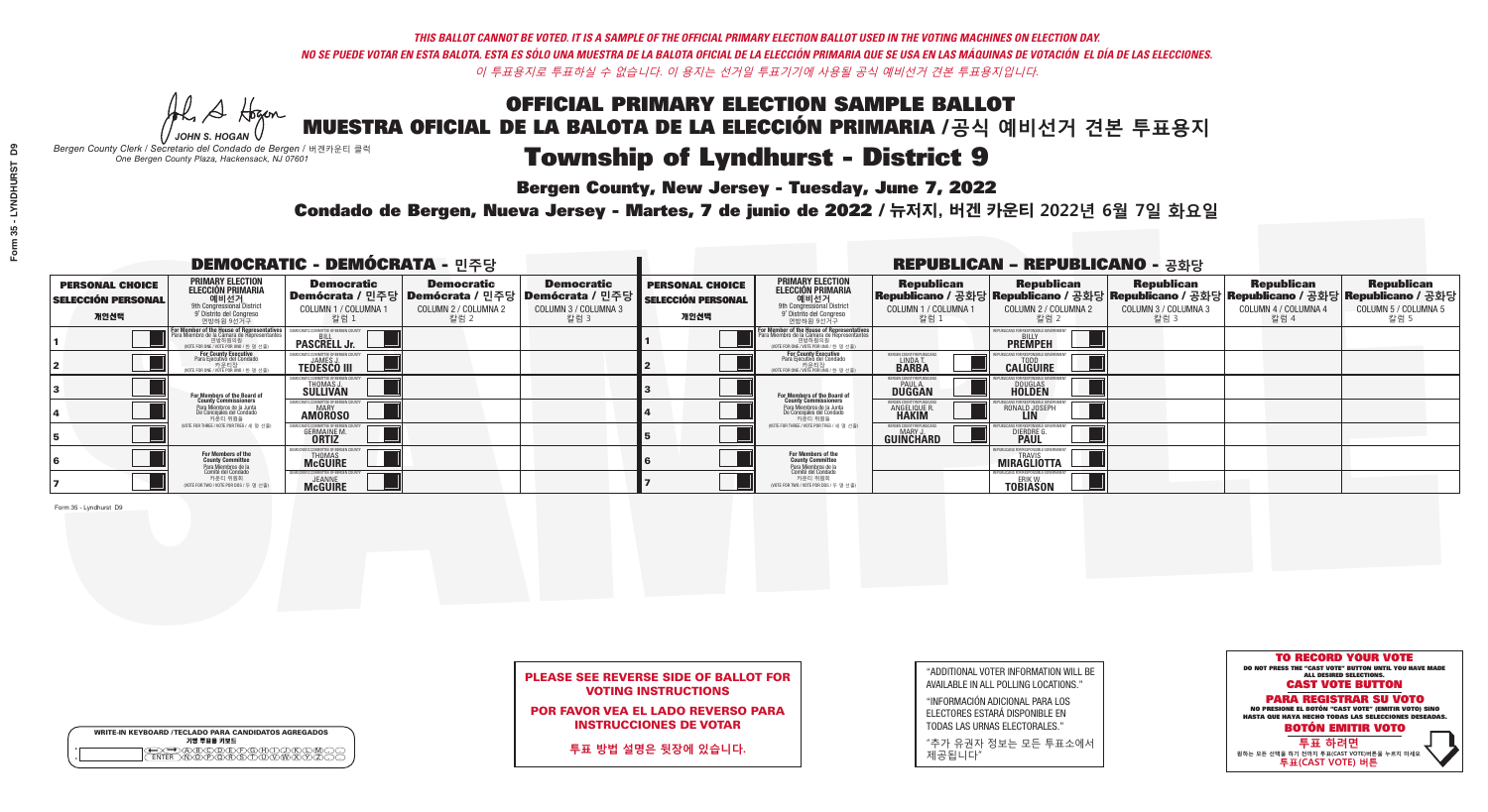Al Stogan *JOHN S. HOGAN*

| <b>WRITE-IN KEYBOARD /TECLADO PARA CANDIDATOS AGREGADOS</b> |
|-------------------------------------------------------------|
| 기명 투표용 키보드                                                  |
| YOODARARAHAT                                                |
|                                                             |

# Township of Lyndhurst - District 9

**Bergen County, New Jersey - Tuesday, June 7, 2022** 

*Bergen County Clerk / Secretario del Condado de Bergen /* 버겐카운티 클럭 *One Bergen County Plaza, Hackensack, NJ 07601*



### PLEASE SEE REVERSE SIDE OF BALLOT FOR VOTING INSTRUCTIONS

POR FAVOR VEA EL LADO REVERSO PARA INSTRUCCIONES DE VOTAR

**투표 방법 설명은 뒷장에 있습니다.**

"ADDITIONAL VOTER INFORMATION WILL BE AVAILABLE IN ALL POLLING LOCATIONS."

"INFORMACIÓN ADICIONAL PARA LOS ELECTORES ESTARÁ DISPONIBLE EN TODAS LAS URNAS ELECTORALES."

"추가 유권자 정보는 모든 투표소에서 제공됩니다"

Condado de Bergen, Nueva Jersey - Martes, 7 de junio de 2022 / 뉴저지, 버겐 카운티 2022년 6월 7일 화요일 *One Bergen County Plaza, Hackensack, NJ 07601*

|                                                             |                                                                                                                                                   | <b>DEMOCRATIC - DEMÓCRATA - 민주당</b>                                   |                                                   |                                                                                                      | <b>REPUBLICAN - REPUBLICANO - 공화당</b>                       |                                                                                                                                                      |                                                             |                                                                                                                                                 |                                                   |                                                   |                                                   |  |
|-------------------------------------------------------------|---------------------------------------------------------------------------------------------------------------------------------------------------|-----------------------------------------------------------------------|---------------------------------------------------|------------------------------------------------------------------------------------------------------|-------------------------------------------------------------|------------------------------------------------------------------------------------------------------------------------------------------------------|-------------------------------------------------------------|-------------------------------------------------------------------------------------------------------------------------------------------------|---------------------------------------------------|---------------------------------------------------|---------------------------------------------------|--|
| <b>PERSONAL CHOICE</b><br><b>SELECCIÓN PERSONAL</b><br>개인선택 | PRIMARY ELECTION<br><b>ELECCIÓN PRIMARIA</b><br>애비선거<br><sup>9th</sup> Congressional District<br><sup>9°</sup> Distrito del Congreso<br>연방하원 9선거구 | <b>Democratic</b><br>COLUMN 1 / COLUMNA 1<br>_ 칼럼 1                   | <b>Democratic</b><br>COLUMN 2 / COLUMNA 2<br>칼럼 2 | <b>Democratic</b><br>Demócrata / 민주당 Demócrata / 민주당 Demócrata / 민주당<br>COLUMN 3 / COLUMNA 3<br>칼럼 3 | <b>PERSONAL CHOICE</b><br><b>SELECCIÓN PERSONAL</b><br>개인선택 | <b>PRIMARY ELECTION</b><br>ELECCIÓN PRIMARIA<br>예비선거<br><sup>9th</sup> Congressional District<br><sup>9'</sup> Distrito del Congreso<br>연방하원 9선거구    | <b>Republican</b><br>COLUMN 1 / COLUMNA 1<br>, 칼럼 :         | <b>Republican</b><br>Republicano / 공화당 Republicano / 공화당 Republicano / 공화당 Republicano / 공화당 Republicano / 공화당<br>COLUMN 2 / COLUMNA 2<br>-칼럼 2 | <b>Republican</b><br>COLUMN 3 / COLUMNA 3<br>칼럼 3 | <b>Republican</b><br>COLUMN 4 / COLUMNA 4<br>칼럼 4 | <b>Republican</b><br>COLUMN 5 / COLUMNA 5<br>칼럼 5 |  |
|                                                             | For Member of the House of Representative:<br>Para Miembro de la Cámara de Representantes                                                         | <b>PASCRELL Jr.</b>                                                   |                                                   |                                                                                                      |                                                             | <b>For Member of the House of Representatives</b><br>Para Miembro de la Cámara de Representantes<br>연방하원의원<br>(VOTE FOR ONE / VOTE POR UNO / 한 명 선출) |                                                             | <b>PREMPEH</b>                                                                                                                                  |                                                   |                                                   |                                                   |  |
|                                                             | For County Executive<br>Para Ejecutivo del Condado<br>VOTE FOR ONE / VOTE POR UNO / 한 명 선출)                                                       | <b>TEDESCO III</b>                                                    |                                                   |                                                                                                      |                                                             | For County Executive<br>Para Ejecutivo del Condado<br>NOTE FOR ONE / VOTE POR UNO / 한 명 선출)                                                          | ERGEN COUNTY REPUBLICA<br>LINDA T.                          | <b>CALIGUIRE</b>                                                                                                                                |                                                   |                                                   |                                                   |  |
|                                                             | For Members of the Board of<br>County Commissioners                                                                                               | MOCRATIC COMMITTEE OF BERGEN (<br><b>THOMAS J.</b><br><b>SULLIVAN</b> |                                                   |                                                                                                      |                                                             | For Members of the Board of<br>County Commissioners                                                                                                  | BERGEN COUNTY REPUBLICAN<br><b>PAUL A.</b><br><b>DUGGAN</b> | <b>DOUGLAS</b>                                                                                                                                  |                                                   |                                                   |                                                   |  |
|                                                             | Para Miembros de la Junta<br>De Concejales del Condado<br>카운티 위원들                                                                                 | <b>MOCRATIC COMMITTEE OF BERGEN COUN</b><br><b>AMOROSO</b>            |                                                   |                                                                                                      |                                                             | Para Miembros de la Junta<br>De Concejales del Condado<br>카운티 위원들                                                                                    | ERGEN COUNTY REPUBLICAN<br><b>ANGELIQUE R</b>               | RONALD JOSEPH<br><b>LIN</b>                                                                                                                     |                                                   |                                                   |                                                   |  |
|                                                             | (VOTE FOR THREE / VOTE POR TRES / 세 명 선출)                                                                                                         | <b>GERMAINE M.</b>                                                    |                                                   |                                                                                                      |                                                             | (VOTE FOR THREE / VOTE POR TRES / 세 명 선출)                                                                                                            | BERGEN COUNTY REPUBLICAN<br>MARY J<br>GUINCHARD             | <b>DIERDRE</b>                                                                                                                                  |                                                   |                                                   |                                                   |  |
|                                                             | For Members of the<br>County Committee<br>Para Miembros de la                                                                                     | MOCRATIC COMMITTEE OF BERGEN CO<br><b>THOMAS</b><br><b>McGUIRE</b>    |                                                   |                                                                                                      |                                                             | For Members of the<br>County Committee                                                                                                               |                                                             | UBLICANS FOR RESPONSIBLE GOVERNMEN<br>TRAVIS<br><b>MIRAGLIOTTA</b>                                                                              |                                                   |                                                   |                                                   |  |
|                                                             | cha mismos de de<br>Comité del Condado<br>카운티 위원회<br>NOTE FOR TWO / VOTE POR DOS / 두 명 선출)                                                        | <b>SEANNE</b>                                                         |                                                   |                                                                                                      |                                                             | Para Miembros de la<br>Comité del Condado<br>카운티 위원회<br>NOTE FOR TWO / VOTE POR DOS / 두 명 선출)                                                        |                                                             | <b>FPUBLICANS FOR RESPONSIBLE GOVERNMENT</b><br>ERIK W.<br><b>TOBIASON</b>                                                                      |                                                   |                                                   |                                                   |  |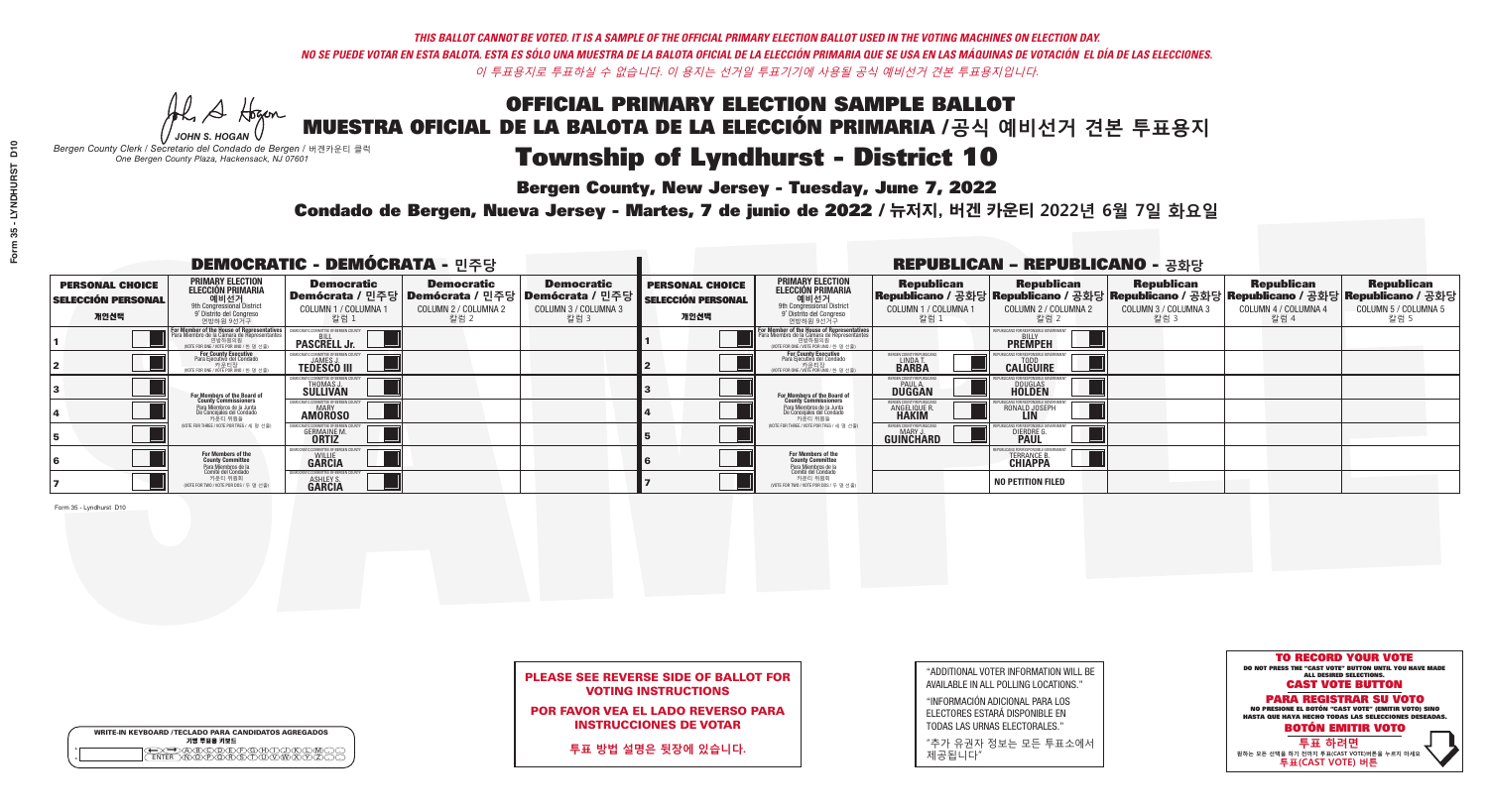**Bergen County, New Jersey - Tuesday, June 7, 2022** 

He A Hogen *JOHN S. HOGAN*

| <b>WRITE-IN KEYBOARD /TECLADO PARA CANDIDATOS AGREGADOS</b><br>기명 투표용 키보드 |
|---------------------------------------------------------------------------|
| )(B)C)(D)(E)(F)(G)(H)(T)(J<br><b>EÃRS</b><br><b>FNTER</b>                 |

*Bergen County Clerk / Secretario del Condado de Bergen /* 버겐카운티 클럭 *One Bergen County Plaza, Hackensack, NJ 07601*

Condado de Bergen, Nueva Jersey - Martes, 7 de junio de 2022 / 뉴저지, 버겐 카운티 2022년 6월 7일 화요일 *One Bergen County Plaza, Hackensack, NJ 07601*



### PLEASE SEE REVERSE SIDE OF BALLOT FOR VOTING INSTRUCTIONS

POR FAVOR VEA EL LADO REVERSO PARA INSTRUCCIONES DE VOTAR

**투표 방법 설명은 뒷장에 있습니다.**

"ADDITIONAL VOTER INFORMATION WILL BE AVAILABLE IN ALL POLLING LOCATIONS."

"INFORMACIÓN ADICIONAL PARA LOS ELECTORES ESTARÁ DISPONIBLE EN TODAS LAS URNAS ELECTORALES."

"추가 유권자 정보는 모든 투표소에서 제공됩니다"

| <b>DEMOCRATIC - DEMÓCRATA - 민주당</b>                         |                                                                                                                                                               |                                                                        |                                                   |                                                                                                      |                                                             |                                                                                                                                                   |                                                             | <b>REPUBLICAN - REPUBLICANO - 공화당</b>                                                                                                           |                                                   |                                                   |                                                   |
|-------------------------------------------------------------|---------------------------------------------------------------------------------------------------------------------------------------------------------------|------------------------------------------------------------------------|---------------------------------------------------|------------------------------------------------------------------------------------------------------|-------------------------------------------------------------|---------------------------------------------------------------------------------------------------------------------------------------------------|-------------------------------------------------------------|-------------------------------------------------------------------------------------------------------------------------------------------------|---------------------------------------------------|---------------------------------------------------|---------------------------------------------------|
| <b>PERSONAL CHOICE</b><br><b>SELECCIÓN PERSONAL</b><br>개인선택 | PRIMARY ELECTION<br><b>ELECCIÓN PRIMARIA</b><br>9th Congressional District<br>9th Congressional District<br>9 <sup>t</sup> Distrito del Congreso<br>연방하원 9선거구 | <b>Democratic</b><br>COLUMN 1 / COLUMNA 1<br>칼럼 1                      | <b>Democratic</b><br>COLUMN 2 / COLUMNA 2<br>칼럼 2 | <b>Democratic</b><br>Demócrata / 민주당 Demócrata / 민주당 Demócrata / 민주당<br>COLUMN 3 / COLUMNA 3<br>칼럼 3 | <b>PERSONAL CHOICE</b><br><b>SELECCIÓN PERSONAL</b><br>개인선택 | <b>PRIMARY ELECTION</b><br>ELECCIÓN PRIMARIA<br>예비선거<br><sup>9th</sup> Congressional District<br><sup>9'</sup> Distrito del Congreso<br>연방하원 9선거구 | <b>Republican</b><br>COLUMN 1 / COLUMNA 1<br>"칼럼 1          | <b>Republican</b><br>Republicano / 공화당 Republicano / 공화당 Republicano / 공화당 Republicano / 공화당 Republicano / 공화당<br>COLUMN 2 / COLUMNA 2<br>-칼럼 2 | <b>Republican</b><br>COLUMN 3 / COLUMNA 3<br>칼럼 3 | <b>Republican</b><br>COLUMN 4 / COLUMNA 4<br>칼럼 4 | <b>Republican</b><br>COLUMN 5 / COLUMNA 5<br>칼럼 5 |
|                                                             | For Member of the House of Representatives<br>Para Miembro de la Cámara de Representantes<br>(VOTE FOR ONE / VOTE POR UNO / 한 명 선출)                           | <b>PASCRELL Jr.</b>                                                    |                                                   |                                                                                                      |                                                             | F <mark>or Member of the House of Representatives</mark><br>Para Miembro de la Cámara de Representantes                                           |                                                             | PUBLICANS FOR RESPONSIBLE GOVERNMEN<br><b>PREMPEH</b>                                                                                           |                                                   |                                                   |                                                   |
|                                                             | <b>For County Executive</b><br>Para Ejecutivo del Condado<br>가운티장<br>(VOTE FOR ONE / VOTE POR UNO / 한 명 선출)                                                   | <b>TEDESCO III</b>                                                     |                                                   |                                                                                                      |                                                             | <b>For County Executive</b><br>Para Ejecutivo del Condado<br>7) 카운티장<br>(VOTE FOR ONE / VOTE POR UNO / 한 명 선출)                                    | BERGEN COUNTY REPUBLICA<br>LINDAT<br><b>BARBA</b>           | <b>CALIGUIRE</b>                                                                                                                                |                                                   |                                                   |                                                   |
|                                                             | <b>For Members of the Board of<br/>County Commissioners</b>                                                                                                   | VIOCRATIC COMMITTEE OF BERGEN (<br><b>THOMAS J.</b><br><b>SULLIVAN</b> |                                                   |                                                                                                      |                                                             | For Members of the Board of<br>County Commissioners                                                                                               | BERGEN COUNTY REPUBLICAN<br><b>PAUL A.</b><br><b>DUGGAN</b> | <b>DOUGLAS</b>                                                                                                                                  |                                                   |                                                   |                                                   |
|                                                             | Para Miembros de la Junta<br>De Concejales del Condado<br>카운티 위원들                                                                                             | MOCRATIC COMMITTEE OF BEBGEN COUNT<br><b>AMOROSO</b>                   |                                                   |                                                                                                      |                                                             | Para Miembros de la Junta<br>De Concejales del Condado<br>카운티 위원들                                                                                 | ERGEN COUNTY REPUBLICAN<br><b>ANGELIQUE R</b>               | RONALD JOSEPH<br><b>LIN</b>                                                                                                                     |                                                   |                                                   |                                                   |
|                                                             | NOTE FOR THREE / VOTE POR TRES / 세 명 선출)                                                                                                                      | <b>GERMAINE M.</b>                                                     |                                                   |                                                                                                      |                                                             | (VOTE FOR THREE / VOTE POR TRES / 세 명 선출)                                                                                                         | BERGEN COUNTY REPUBLICAN<br>MARY J<br>GUINCHARD             | <b>DIERDRE</b>                                                                                                                                  |                                                   |                                                   |                                                   |
|                                                             | For Members of the<br>County Committee<br>Para Miembros de la<br>Comité del Condado                                                                           | MOCRATIC COMMITTEE OF BERGEN COUNT<br><b>GÄRCIA</b>                    |                                                   |                                                                                                      |                                                             | For Members of the<br>County Committee                                                                                                            |                                                             | IRLICANS FOR RESPONSIRLE GOVI<br><b>TERRANCE B.</b><br><b>CHIAPPA</b>                                                                           |                                                   |                                                   |                                                   |
|                                                             | 카운티 위원회<br>NOTE FOR TWO / VOTE POR DOS / 두 명 선출)                                                                                                              | ASHLEY S.                                                              |                                                   |                                                                                                      |                                                             | Para Miembros de la<br>Comité del Condado<br>카운티 위원회<br>(VOTE FOR TWO / VOTE POR DOS / 두 명 선출)                                                    |                                                             | <b>NO PETITION FILED</b>                                                                                                                        |                                                   |                                                   |                                                   |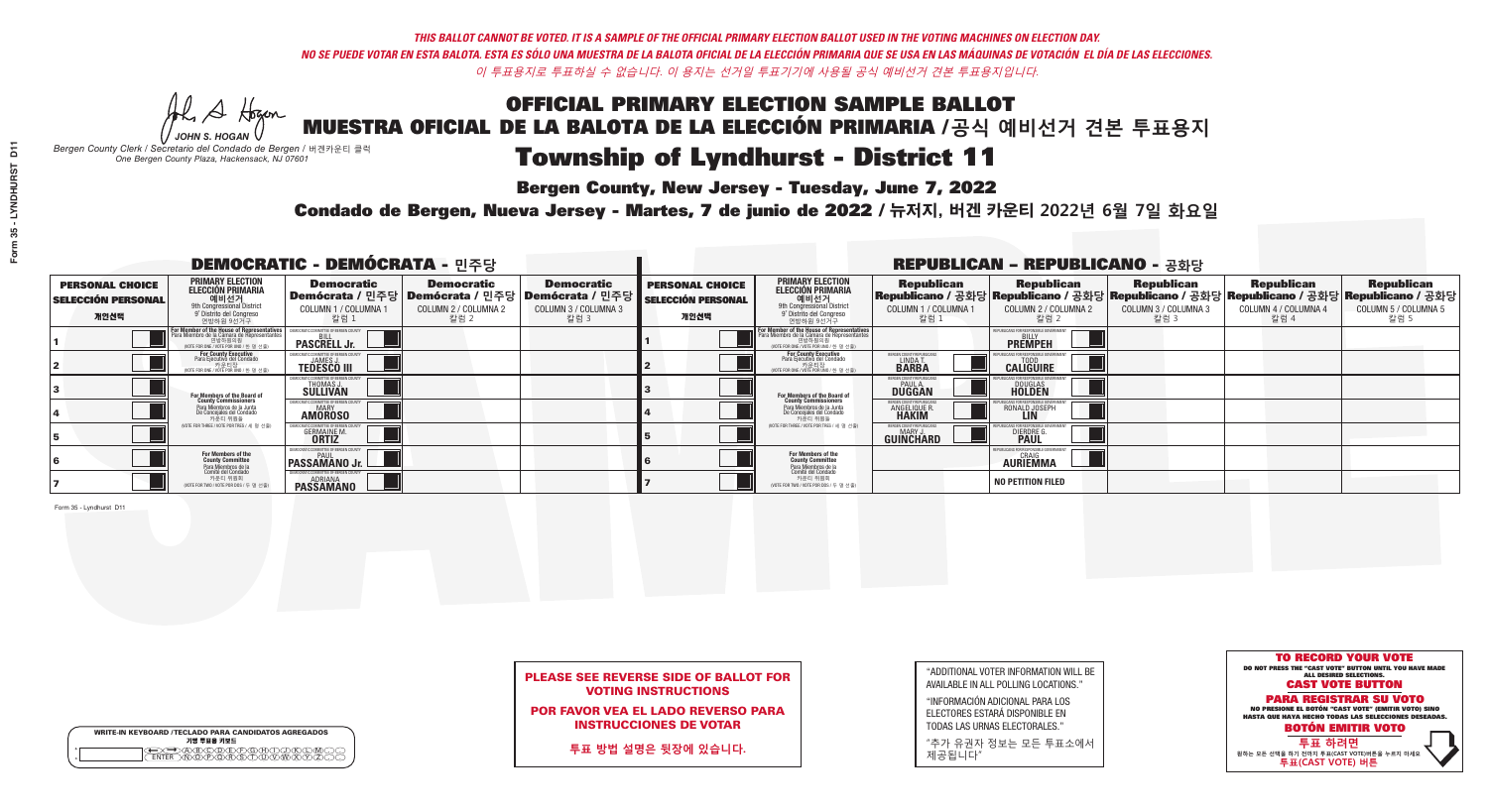A Hogan *JOHN S. HOGAN*

| <b>WRITE-IN KEYBOARD /TECLADO PARA CANDIDATOS AGREGADOS</b><br>기명 투표용 키보드 |
|---------------------------------------------------------------------------|
| $F \times F \times G \times H \times$                                     |

# Township of Lyndhurst - District 11

**Bergen County, New Jersey - Tuesday, June 7, 2022** 

*Bergen County Clerk / Secretario del Condado de Bergen /* 버겐카운티 클럭 *One Bergen County Plaza, Hackensack, NJ 07601*

Condado de Bergen, Nueva Jersey - Martes, 7 de junio de 2022 / 뉴저지, 버겐 카운티 2022년 6월 7일 화요일 *One Bergen County Plaza, Hackensack, NJ 07601*



### PLEASE SEE REVERSE SIDE OF BALLOT FOR VOTING INSTRUCTIONS

POR FAVOR VEA EL LADO REVERSO PARA INSTRUCCIONES DE VOTAR

**투표 방법 설명은 뒷장에 있습니다.**

| "ADDITIONAL VOTER INFORMATION WILL BE |
|---------------------------------------|
| AVAILABLE IN ALL POLLING LOCATIONS."  |
|                                       |

"INFORMACIÓN ADICIONAL PARA LOS ELECTORES ESTARÁ DISPONIBLE EN TODAS LAS URNAS ELECTORALES."

"추가 유권자 정보는 모든 투표소에서 제공됩니다"

| <b>DEMOCRATIC - DEMÓCRATA - 민주당</b>                         |                                                                                                                                                         |                                                                    |                                                                                                        |                                                   |                                                             |                                                                                                                                                      |                                                             | <b>REPUBLICAN - REPUBLICANO - 공화당</b>                                                                                                           |                                                   |                                                   |                                                   |
|-------------------------------------------------------------|---------------------------------------------------------------------------------------------------------------------------------------------------------|--------------------------------------------------------------------|--------------------------------------------------------------------------------------------------------|---------------------------------------------------|-------------------------------------------------------------|------------------------------------------------------------------------------------------------------------------------------------------------------|-------------------------------------------------------------|-------------------------------------------------------------------------------------------------------------------------------------------------|---------------------------------------------------|---------------------------------------------------|---------------------------------------------------|
| <b>PERSONAL CHOICE</b><br><b>SELECCIÓN PERSONAL</b><br>개인선택 | <b>PRIMARY ELECTION</b><br><b>ELECCIÓN PRIMARIA</b><br>에비선거<br><sup>9th</sup> Congressional District<br><sup>9</sup> Distrito del Congreso<br>연방하원 9선거구 | <b>Democratic</b><br>COLUMN 1 / COLUMNA 1<br>_칼럼 1                 | <b>Democratic</b><br>│Demócrata / 민주당│Demócrata / 민주당│Demócrata / 민주당┃<br>COLUMN 2 / COLUMNA 2<br>칼럼 2 | <b>Democratic</b><br>COLUMN 3 / COLUMNA 3<br>칼럼 3 | <b>PERSONAL CHOICE</b><br><b>SELECCIÓN PERSONAL</b><br>개인선택 | <b>PRIMARY ELECTION</b><br>ELECCIÓN PRIMARIA<br>9th Congressional District<br>9° Distrito del Congreso<br>연방하원 9선거구                                  | <b>Republican</b><br>COLUMN 1 / COLUMNA 1<br>, 칼럼 :         | <b>Republican</b><br>Republicano / 공화당 Republicano / 공화당 Republicano / 공화당 Republicano / 공화당 Republicano / 공화당<br>COLUMN 2 / COLUMNA 2<br>-칼럼 2 | <b>Republican</b><br>COLUMN 3 / COLUMNA 3<br>칼럼 3 | <b>Republican</b><br>COLUMN 4 / COLUMNA 4<br>칼럼 4 | <b>Republican</b><br>COLUMN 5 / COLUMNA 5<br>칼럼 5 |
|                                                             | F <mark>or Member of the House of Representatives</mark><br>Para Miembro de la Cámara de Representantes                                                 | <b>PASCRELL Jr.</b>                                                |                                                                                                        |                                                   |                                                             | <b>For Member of the House of Representatives</b><br>Para Miembro de la Cámara de Representantes<br>연방하원의원<br>(VOTE FOR ONE / VOTE POR UNO / 한 명 선출) |                                                             | <b>PREMPEH</b>                                                                                                                                  |                                                   |                                                   |                                                   |
|                                                             | For County Executive<br>Para Ejecutivo del Condado<br>NOTE FOR ONE / VOTE POR UNO / 한 명 선출)                                                             | <b>TEDESCO III</b>                                                 |                                                                                                        |                                                   |                                                             | For County Executive<br>Para Ejecutivo del Condado<br>VOTE FOR ONE / VOTE POR UNO / 한 명 선출)                                                          | ERGEN COUNTY REPUBLICA<br>LINDAT.                           | <b>CALIGUIRE</b>                                                                                                                                |                                                   |                                                   |                                                   |
|                                                             | <b>For Members of the Board of<br/>County Commissioners</b>                                                                                             | EMOCRATIC COMMITTEE OF BERGEN CO<br>THOMAS J.<br>SULLIVAN          |                                                                                                        |                                                   |                                                             | <b>For Members of the Board of<br/>County Commissioners</b>                                                                                          | BERGEN COUNTY REPUBLICAN<br><b>PAUL A.</b><br><b>DUGGAN</b> | <b>DOUGLAS</b><br><b>HOLDEN</b>                                                                                                                 |                                                   |                                                   |                                                   |
|                                                             | Para Miembros de la Junta<br>De Conceiales del Condado<br>카운티 위원들                                                                                       | <b><i>AOCRATIC COMMITTEE OF BERGEN COUNT</i></b><br><b>AMOROSO</b> |                                                                                                        |                                                   |                                                             | Para Miembros de la Junta<br>De Concejales del Condado<br>카운티 위원들                                                                                    | BERGEN COUNTY REPUBLICAN<br>ANGELIQUE R                     | RONALD JOSEPH<br><b>LIN</b>                                                                                                                     |                                                   |                                                   |                                                   |
|                                                             | NOTE FOR THREE / VOTE POR TRES / 세 명 선출)                                                                                                                | <b>GERMAINE M.</b><br><b>ORTIZ</b>                                 |                                                                                                        |                                                   |                                                             | (VOTE FOR THREE / VOTE POR TRES / 세 명 선출)                                                                                                            | BERGEN COUNTY REPUBLICAN<br>MARY J<br>GUINCHARD             | <b>DIERDRE</b>                                                                                                                                  |                                                   |                                                   |                                                   |
|                                                             | For Members of the<br>County Committee<br>Para Miembros de la<br>Comité del Condado                                                                     | EMOCRATIC COMMITTEE OF BERGEN COUNT<br><b>PASSAMANO Jr.</b>        |                                                                                                        |                                                   |                                                             | For Members of the<br>County Committee                                                                                                               |                                                             | UBLICANS FOR RESPONSIBLE GOVER<br><b>CRAIG</b><br><b>AURIEMMA</b>                                                                               |                                                   |                                                   |                                                   |
|                                                             | 카운티 위원회<br>NOTE FOR TWO / VOTE POR DOS / 두 명 선출)                                                                                                        | EMOCRATIC COMMITTEE OF BERGEN COUNT<br>ADRIANA<br><b>PASSAMANO</b> |                                                                                                        |                                                   |                                                             | Para Miembros de la<br>Comité del Condado<br>카운티 위원회<br>NOTE FOR TWO / VOTE POR DOS / 두 명 선출)                                                        |                                                             | <b>NO PETITION FILED</b>                                                                                                                        |                                                   |                                                   |                                                   |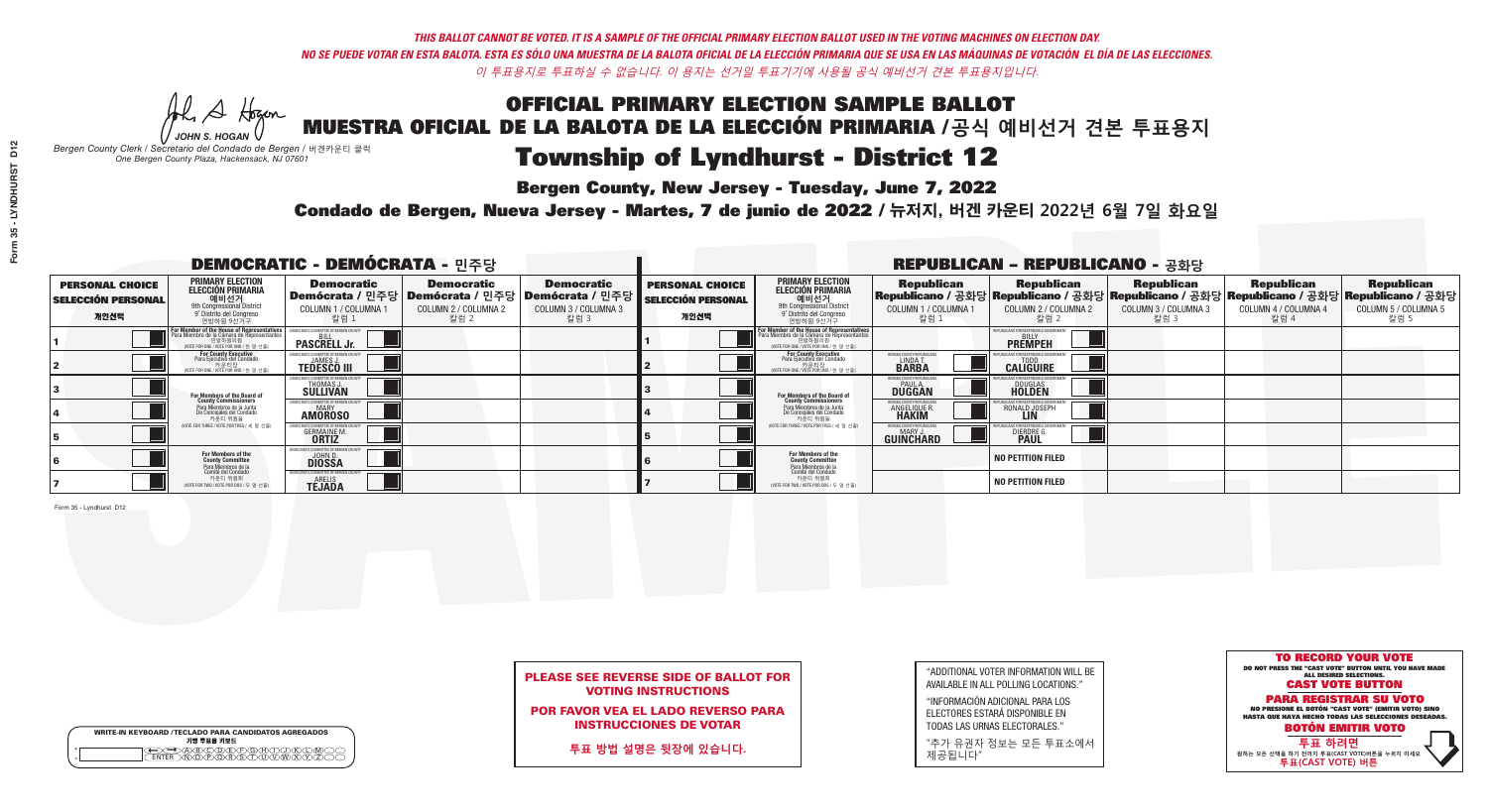He A Hogen *JOHN S. HOGAN*

# Township of Lyndhurst - District 12

**Bergen County, New Jersey - Tuesday, June 7, 2022** 

*Bergen County Clerk / Secretario del Condado de Bergen /* 버겐카운티 클럭 *One Bergen County Plaza, Hackensack, NJ 07601*



Condado de Bergen, Nueva Jersey - Martes, 7 de junio de 2022 / 뉴저지, 버겐 카운티 2022년 6월 7일 화요일 *One Bergen County Plaza, Hackensack, NJ 07601*



### PLEASE SEE REVERSE SIDE OF BALLOT FOR VOTING INSTRUCTIONS

POR FAVOR VEA EL LADO REVERSO PARA INSTRUCCIONES DE VOTAR

**투표 방법 설명은 뒷장에 있습니다.**

| "ADDITIONAL VOTER INFORMATION WILL BE |
|---------------------------------------|
| AVAILABLE IN ALL POLLING LOCATIONS."  |
|                                       |

"INFORMACIÓN ADICIONAL PARA LOS ELECTORES ESTARÁ DISPONIBLE EN TODAS LAS URNAS ELECTORALES."

"추가 유권자 정보는 모든 투표소에서 제공됩니다"

| ና<br>ር          |  |
|-----------------|--|
|                 |  |
| <b>VNDHIRST</b> |  |
|                 |  |
| 35              |  |
|                 |  |
|                 |  |
|                 |  |
|                 |  |

D<sub>12</sub>

|                                                             |                                                                                                                                         | <b>DEMOCRATIC - DEMÓCRATA - 민주당</b>                  |                                                   |                                                                                                              |                                                             |                                                                                                                                                   |                                                                      | <b>REPUBLICAN - REPUBLICANO - 공화당</b>                                                                                                           |                                                   |                                                   |                                                   |
|-------------------------------------------------------------|-----------------------------------------------------------------------------------------------------------------------------------------|------------------------------------------------------|---------------------------------------------------|--------------------------------------------------------------------------------------------------------------|-------------------------------------------------------------|---------------------------------------------------------------------------------------------------------------------------------------------------|----------------------------------------------------------------------|-------------------------------------------------------------------------------------------------------------------------------------------------|---------------------------------------------------|---------------------------------------------------|---------------------------------------------------|
| <b>PERSONAL CHOICE</b><br><b>SELECCIÓN PERSONAL</b><br>개인선택 | <b>PRIMARY ELECTION</b><br><b>ELECCIÓN PRIMARIA</b><br>예비선거<br><sup>9</sup> District<br><sup>9</sup> Distrito del Congreso<br>연방하원 9선거구 | <b>Democratic</b><br>COLUMN 1 / COLUMNA<br>칼럼 1      | <b>Democratic</b><br>COLUMN 2 / COLUMNA 2<br>칼럼 2 | <b>Democratic</b><br>  Demócrata / 민주당   Demócrata / 민주당   Demócrata / 민주당  <br>COLUMN 3 / COLUMNA 3<br>칼럼 3 | <b>PERSONAL CHOICE</b><br><b>SELECCIÓN PERSONAL</b><br>개인선택 | <b>PRIMARY ELECTION</b><br>ELECCIÓN PRIMARIA<br>예비선거<br><sup>9th</sup> Congressional District<br><sup>9'</sup> Distrito del Congreso<br>연방하원 9선거구 | <b>Republican</b><br>COLUMN 1 / COLUMNA 1<br>칼럼 1                    | <b>Republican</b><br> Republicano / 공화당 Republicano / 공화당 Republicano / 공화당 Republicano / 공화당 Republicano / 공화당<br>COLUMN 2 / COLUMNA 2<br>칼럼 2 | <b>Republican</b><br>COLUMN 3 / COLUMNA 3<br>칼럼 3 | <b>Republican</b><br>COLUMN 4 / COLUMNA 4<br>칼럼 4 | <b>Republican</b><br>COLUMN 5 / COLUMNA 5<br>칼럼 5 |
|                                                             | <b>For Member of the House of Representatives</b><br>Para Miembro de la Cámara de Representantes                                        | COMMITTEE OF BERGEN COUNT<br><b>PASCRELL Jr.</b>     |                                                   |                                                                                                              |                                                             | F <mark>or Member of the House of Representatives</mark><br>Para Miembro de la Cámara de Representantes<br>NOTE FOR ONE / VOTE POR UNO / 한 명 선출)  |                                                                      | FPUBLICANS FOR RESPONSIBLE GOVERNMEN<br><b>PREMPEH</b>                                                                                          |                                                   |                                                   |                                                   |
|                                                             | For County Executive<br>Para Ejecutivo del Condado<br>/OTE FOR ONE / VOTE POR UNO / 한 명 선출)                                             | JAMES,<br><b>TEDESCO III</b>                         |                                                   |                                                                                                              |                                                             | For County Executive<br>Para Ejecutivo del Condado<br>. 카운티장<br>(VOTE FOR ONE / VOTE POR UNO / 한 명 선출)                                            | ERGEN COUNTY REPUBLICA<br>LINDA T<br><b>BARBA</b>                    | <b>CALIGUIRE</b>                                                                                                                                |                                                   |                                                   |                                                   |
|                                                             | For Members of the Board of<br>County Commissioners                                                                                     | IOCRATIC COMMITTEE OF BERGEN CO<br>THOMAS J.         |                                                   |                                                                                                              |                                                             | <b>For Members of the Board of County Commissioners</b>                                                                                           | BERGEN COUNTY REPUBLICAN<br><b>DUGGAN</b>                            | <b>DOUGLAS</b><br><b>HOLDEN</b>                                                                                                                 |                                                   |                                                   |                                                   |
|                                                             | Para Miembros de la Junta<br>De Concejales del Condado<br>카운티 위원들                                                                       | IOCRATIC COMMITTEE OF BERGEN COUN'<br><b>AMOROSO</b> |                                                   |                                                                                                              |                                                             | Para Miembros de la Junta<br>De Concejales del Condado<br>카운티 위원들                                                                                 | <b>ERGEN COUNTY REPUBLICAN</b><br><b>ANGELIQUE R</b><br><b>HAKIM</b> | RONALD JOSEPH                                                                                                                                   |                                                   |                                                   |                                                   |
|                                                             | NOTE FOR THREE / VOTE POR TRES / 세 명 선출)                                                                                                | <b>GERMAINE M</b><br><b>ORTIZ</b>                    |                                                   |                                                                                                              |                                                             | (VOTE FOR THREE / VOTE POR TRES / 세 명 선출)                                                                                                         | ERGEN COUNTY REPUBLICAN<br>MARY J<br><b>GUINCHARD</b>                | <b>DIERDRE</b>                                                                                                                                  |                                                   |                                                   |                                                   |
|                                                             | For Members of the<br>County Committee<br>Para Miembros de la                                                                           | MOCRATIC COMMITTEE OF BERGEN<br><b>DIOSSA</b>        |                                                   |                                                                                                              |                                                             | <b>For Members of the<br/>County Committee</b>                                                                                                    |                                                                      | <b>NO PETITION FILED</b>                                                                                                                        |                                                   |                                                   |                                                   |
|                                                             | Comité del Condado<br>카운티 위원회<br>(VOTE FOR TWO / VOTE POR DOS / 두 명 선출)                                                                 | CRATIC COMMITTEE OF BERGEN (<br><b>TÉJADA</b>        |                                                   |                                                                                                              |                                                             | Para Miembros de la<br>Comité del Condado<br>카운티 위원회<br>(VOTE FOR TWO / VOTE POR DOS / 두 명 선출)                                                    |                                                                      | <b>NO PETITION FILED</b>                                                                                                                        |                                                   |                                                   |                                                   |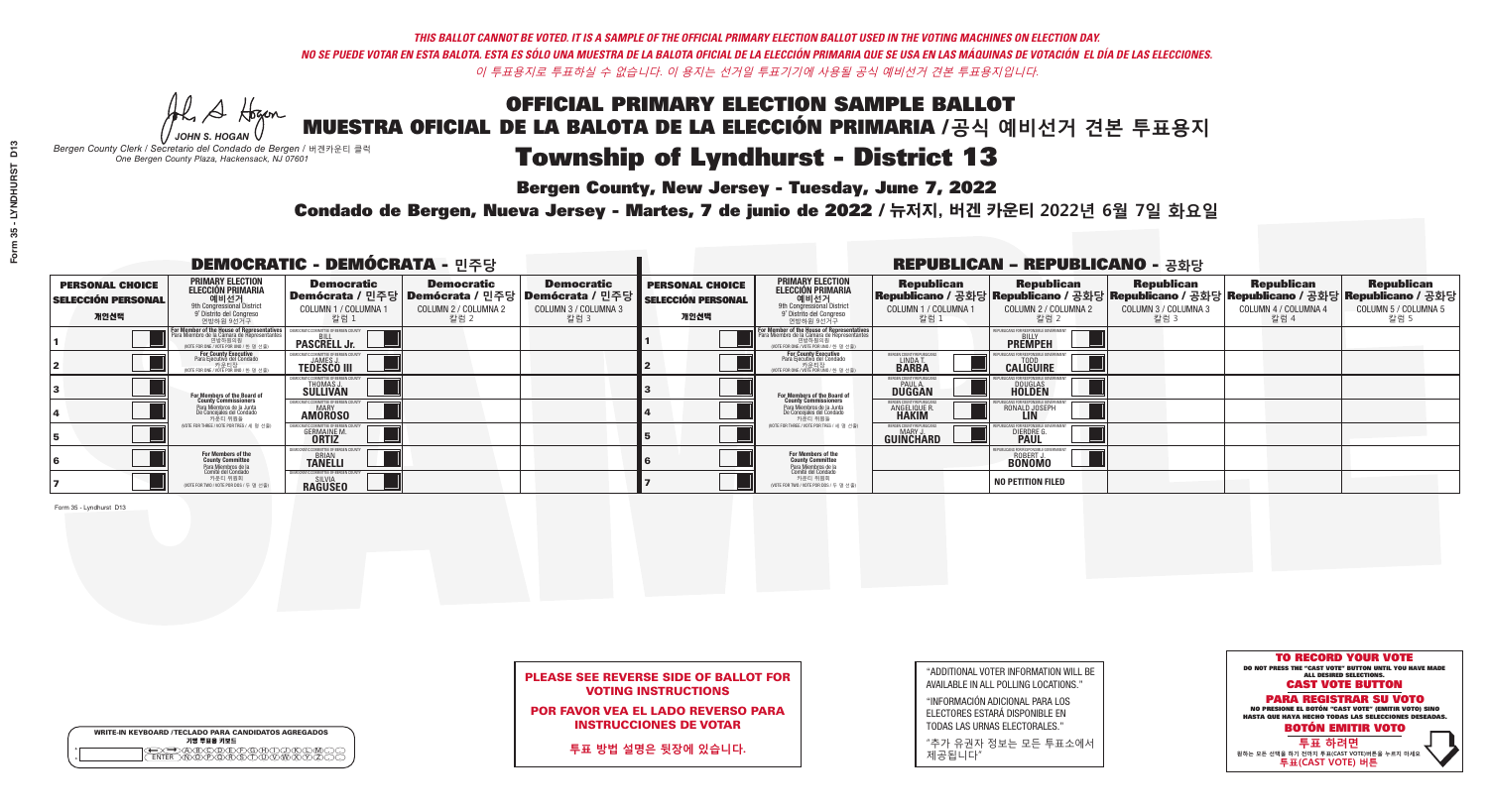**Bergen County, New Jersey - Tuesday, June 7, 2022** 

He A Hogan *JOHN S. HOGAN*

| <b>WRITE-IN KEYBOARD /TECLADO PARA CANDIDATOS AGREGADOS</b><br>기명 투표용 키보드 |
|---------------------------------------------------------------------------|
| <del>DQ</del> @@@@@@@@QQ&Q<br>ENTER\N\@@@@R\\$\T\U\V\\\XY                 |

*Bergen County Clerk / Secretario del Condado de Bergen /* 버겐카운티 클럭 *One Bergen County Plaza, Hackensack, NJ 07601*

Condado de Bergen, Nueva Jersey - Martes, 7 de junio de 2022 / 뉴저지, 버겐 카운티 2022년 6월 7일 화요일 *One Bergen County Plaza, Hackensack, NJ 07601*



### PLEASE SEE REVERSE SIDE OF BALLOT FOR VOTING INSTRUCTIONS

POR FAVOR VEA EL LADO REVERSO PARA INSTRUCCIONES DE VOTAR

**투표 방법 설명은 뒷장에 있습니다.**

"ADDITIONAL VOTER INFORMATION WILL BE AVAILABLE IN ALL POLLING LOCATIONS."

"INFORMACIÓN ADICIONAL PARA LOS ELECTORES ESTARÁ DISPONIBLE EN TODAS LAS URNAS ELECTORALES."

"추가 유권자 정보는 모든 투표소에서 제공됩니다"

| <b>DEMOCRATIC - DEMÓCRATA - 민주당</b>                         |                                                                                                                                                               |                                                                        |                                                   |                                                                                                      |                                                             |                                                                                                                                                   |                                                             | <b>REPUBLICAN - REPUBLICANO - 공화당</b>                                                                                                           |                                                   |                                                   |                                                   |
|-------------------------------------------------------------|---------------------------------------------------------------------------------------------------------------------------------------------------------------|------------------------------------------------------------------------|---------------------------------------------------|------------------------------------------------------------------------------------------------------|-------------------------------------------------------------|---------------------------------------------------------------------------------------------------------------------------------------------------|-------------------------------------------------------------|-------------------------------------------------------------------------------------------------------------------------------------------------|---------------------------------------------------|---------------------------------------------------|---------------------------------------------------|
| <b>PERSONAL CHOICE</b><br><b>SELECCIÓN PERSONAL</b><br>개인선택 | PRIMARY ELECTION<br><b>ELECCIÓN PRIMARIA</b><br>9th Congressional District<br>9th Congressional District<br>9 <sup>t</sup> Distrito del Congreso<br>연방하원 9선거구 | <b>Democratic</b><br>COLUMN 1 / COLUMNA 1<br>칼럼 1                      | <b>Democratic</b><br>COLUMN 2 / COLUMNA 2<br>칼럼 2 | <b>Democratic</b><br>Demócrata / 민주당 Demócrata / 민주당 Demócrata / 민주당<br>COLUMN 3 / COLUMNA 3<br>칼럼 3 | <b>PERSONAL CHOICE</b><br><b>SELECCIÓN PERSONAL</b><br>개인선택 | <b>PRIMARY ELECTION</b><br>ELECCIÓN PRIMARIA<br>예비선거<br><sup>9th</sup> Congressional District<br><sup>9'</sup> Distrito del Congreso<br>연방하원 9선거구 | <b>Republican</b><br>COLUMN 1 / COLUMNA 1<br>"칼럼 1          | <b>Republican</b><br>Republicano / 공화당 Republicano / 공화당 Republicano / 공화당 Republicano / 공화당 Republicano / 공화당<br>COLUMN 2 / COLUMNA 2<br>-칼럼 2 | <b>Republican</b><br>COLUMN 3 / COLUMNA 3<br>칼럼 3 | <b>Republican</b><br>COLUMN 4 / COLUMNA 4<br>칼럼 4 | <b>Republican</b><br>COLUMN 5 / COLUMNA 5<br>칼럼 5 |
|                                                             | For Member of the House of Representative.<br>Para Miembro de la Cámara de Representantes<br>(VOTE FOR ONE / VOTE POR UNO / 한 명 선출)                           | <b>PASCRELL Jr.</b>                                                    |                                                   |                                                                                                      |                                                             | F <mark>or Member of the House of Representatives</mark><br>Para Miembro de la Cámara de Representantes                                           |                                                             | PUBLICANS FOR RESPONSIBLE GOVERNMEN<br><b>PREMPEH</b>                                                                                           |                                                   |                                                   |                                                   |
|                                                             | <b>For County Executive</b><br>Para Ejecutivo del Condado<br>가운티장<br>(VOTE FOR ONE / VOTE POR UNO / 한 명 선출)                                                   | <b>TEDESCO III</b>                                                     |                                                   |                                                                                                      |                                                             | <b>For County Executive</b><br>Para Ejecutivo del Condado<br>7) 카운티장<br>(VOTE FOR ONE / VOTE POR UNO / 한 명 선출)                                    | BERGEN COUNTY REPUBLICA<br>LINDAT<br><b>BARBA</b>           | <b>CALIGUIRE</b>                                                                                                                                |                                                   |                                                   |                                                   |
|                                                             | <b>For Members of the Board of<br/>County Commissioners</b>                                                                                                   | VIOCRATIC COMMITTEE OF BERGEN (<br><b>THOMAS J.</b><br><b>SULLIVAN</b> |                                                   |                                                                                                      |                                                             | For Members of the Board of<br>County Commissioners                                                                                               | BERGEN COUNTY REPUBLICAN<br><b>PAUL A.</b><br><b>DUGGAN</b> | <b>DOUGLAS</b>                                                                                                                                  |                                                   |                                                   |                                                   |
|                                                             | Para Miembros de la Junta<br>De Concejales del Condado<br>카운티 위원들                                                                                             | MOCRATIC COMMITTEE OF BEBGEN COUNT<br><b>AMOROSO</b>                   |                                                   |                                                                                                      |                                                             | Para Miembros de la Junta<br>De Concejales del Condado<br>카운티 위원들                                                                                 | ERGEN COUNTY REPUBLICAN<br><b>ANGELIQUE R</b>               | RONALD JOSEPH<br><b>LIN</b>                                                                                                                     |                                                   |                                                   |                                                   |
|                                                             | NOTE FOR THREE / VOTE POR TRES / 세 명 선출)                                                                                                                      | <b>GERMAINE M.</b>                                                     |                                                   |                                                                                                      |                                                             | (VOTE FOR THREE / VOTE POR TRES / 세 명 선출)                                                                                                         | BERGEN COUNTY REPUBLICAN<br>MARY J<br>GUINCHARD             | <b>DIERDRE</b>                                                                                                                                  |                                                   |                                                   |                                                   |
|                                                             | For Members of the<br>County Committee<br>Para Miembros de la<br>Comité del Condado                                                                           | MOCRATIC COMMITTEE OF BERGEN COUNT<br><b>TANELLI</b>                   |                                                   |                                                                                                      |                                                             | For Members of the<br>County Committee                                                                                                            |                                                             | JBI ICANS FOR RESPONSIBI E GOVERNMEN<br><b>ROBERT J.</b><br><b>BONOMO</b>                                                                       |                                                   |                                                   |                                                   |
|                                                             | 카운티 위원회<br>NOTE FOR TWO / VOTE POR DOS / 두 명 선출)                                                                                                              | <b><i>MOCRATIC COMMITTEE OF BERGEN COUNT</i></b><br><b>RAGUSEO</b>     |                                                   |                                                                                                      |                                                             | Para Miembros de la<br>Comité del Condado<br>카운티 위원회<br>(VOTE FOR TWO / VOTE POR DOS / 두 명 선출)                                                    |                                                             | <b>NO PETITION FILED</b>                                                                                                                        |                                                   |                                                   |                                                   |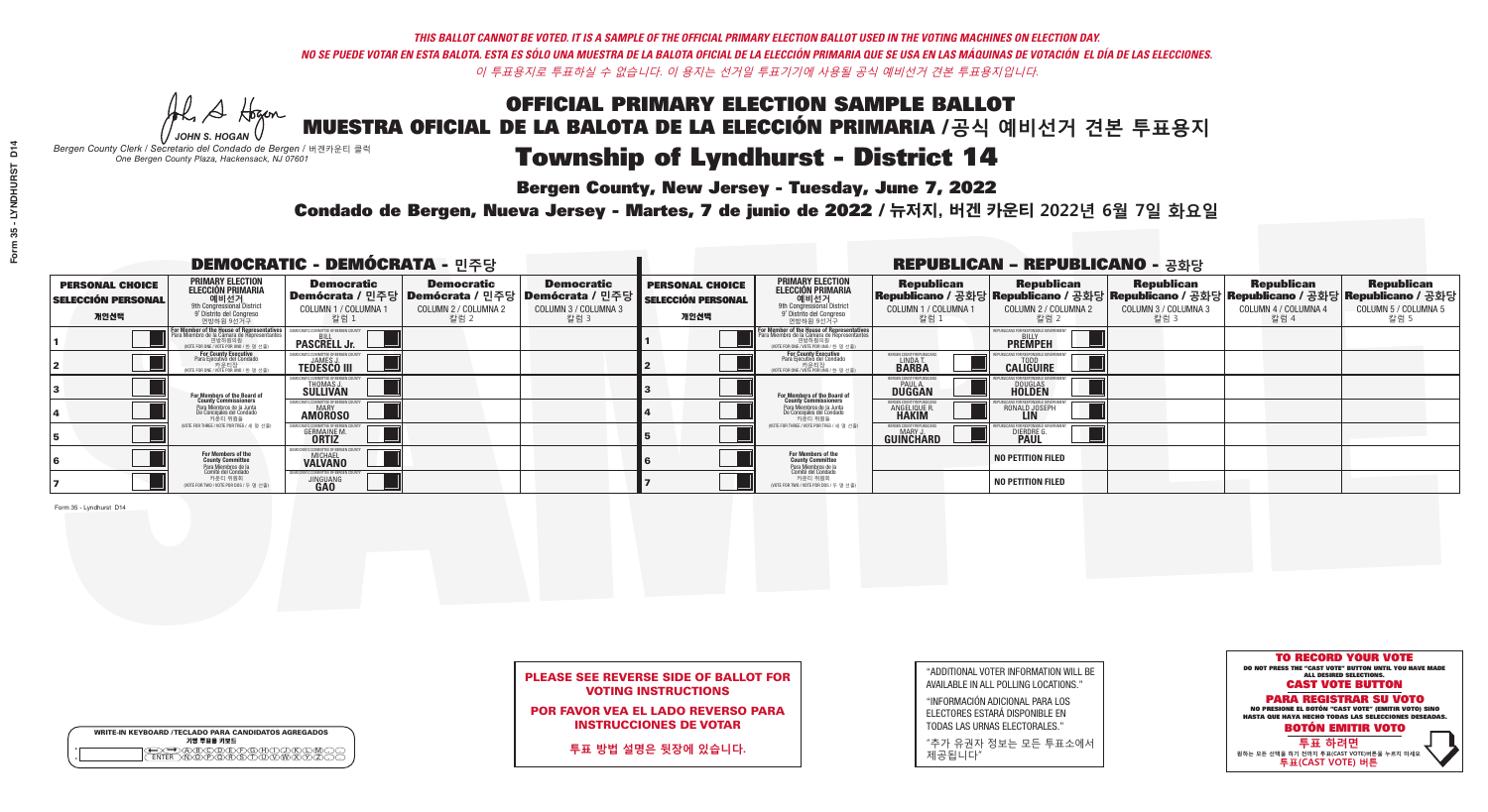He A Hogan *JOHN S. HOGAN*

|                    | <b>WRITE-IN KEYBOARD /TECLADO PARA CANDIDATOS AGREGADOS</b><br>기명 투표용 키보드 |
|--------------------|---------------------------------------------------------------------------|
| $\circ$<br>$\circ$ |                                                                           |

## Township of Lyndhurst - District 14

**Bergen County, New Jersey - Tuesday, June 7, 2022** 

*Bergen County Clerk / Secretario del Condado de Bergen /* 버겐카운티 클럭 *One Bergen County Plaza, Hackensack, NJ 07601*

Condado de Bergen, Nueva Jersey - Martes, 7 de junio de 2022 / 뉴저지, 버겐 카운티 2022년 6월 7일 화요일 *One Bergen County Plaza, Hackensack, NJ 07601*



### PLEASE SEE REVERSE SIDE OF BALLOT FOR VOTING INSTRUCTIONS

POR FAVOR VEA EL LADO REVERSO PARA INSTRUCCIONES DE VOTAR

**투표 방법 설명은 뒷장에 있습니다.**

| "ADDITIONAL VOTER INFORMATION WILL BE |
|---------------------------------------|
| AVAILABLE IN ALL POLLING LOCATIONS."  |
|                                       |

"INFORMACIÓN ADICIONAL PARA LOS ELECTORES ESTARÁ DISPONIBLE EN TODAS LAS URNAS ELECTORALES."

"추가 유권자 정보는 모든 투표소에서 제공됩니다"

| <b>DEMOCRATIC - DEMÓCRATA - 민주당</b>                         |                                                                                                                                                   |                                                             |                                                   | <b>REPUBLICAN - REPUBLICANO - 공화당</b>                                                                |                                                             |                                                                                                                                                                       |                                                             |                                                                                                                                                    |                                                   |                                                   |                                                   |
|-------------------------------------------------------------|---------------------------------------------------------------------------------------------------------------------------------------------------|-------------------------------------------------------------|---------------------------------------------------|------------------------------------------------------------------------------------------------------|-------------------------------------------------------------|-----------------------------------------------------------------------------------------------------------------------------------------------------------------------|-------------------------------------------------------------|----------------------------------------------------------------------------------------------------------------------------------------------------|---------------------------------------------------|---------------------------------------------------|---------------------------------------------------|
| <b>PERSONAL CHOICE</b><br><b>SELECCIÓN PERSONAL</b><br>개인선택 | PRIMARY ELECTION<br><b>ELECCIÓN PRIMARIA</b><br>애비선거<br><sup>9th</sup> Congressional District<br><sup>9°</sup> Distrito del Congreso<br>연방하원 9선거구 | <b>Democratic</b><br>COLUMN 1 / COLUMNA 1<br>칼럼 1           | <b>Democratic</b><br>COLUMN 2 / COLUMNA 2<br>칼럼 2 | <b>Democratic</b><br>Demócrata / 민주당 Demócrata / 민주당 Demócrata / 민주당<br>COLUMN 3 / COLUMNA 3<br>칼럼 3 | <b>PERSONAL CHOICE</b><br><b>SELECCIÓN PERSONAL</b><br>개인선택 | <b>PRIMARY ELECTION</b><br>ELECCIÓN PRIMARIA<br>예비선거<br><sup>9th</sup> Congressional District<br><sup>9'</sup> Distrito del Congreso<br>연방하원 9선거구                     | <b>Republican</b><br>COLUMN 1 / COLUMNA 1<br>.칼럼 :          | <b>Republican</b><br> Republicano / 공화당 Republicano / 공화당 Republicano / 공화당 Republicano / 공화당 Republicano / 공화당  <br>COLUMN 2 / COLUMNA 2<br>-칼럼 2 | <b>Republican</b><br>COLUMN 3 / COLUMNA 3<br>칼럼 3 | <b>Republican</b><br>COLUMN 4 / COLUMNA 4<br>칼럼 4 | <b>Republican</b><br>COLUMN 5 / COLUMNA 5<br>칼럼 5 |
|                                                             | For Member of the House of Representatives<br>Para Miembro de la Cámara de Representantes                                                         | <b>PASCRELL Jr.</b>                                         |                                                   |                                                                                                      |                                                             | <b>For Member of the House of Representatives</b><br>Para Miembro de la Cámara de Representantes<br>연방하원의원<br>(VOTE FOR ONE / VOTE POR UNO / 한 명 선출)                  |                                                             | <b>PREMPEH</b>                                                                                                                                     |                                                   |                                                   |                                                   |
|                                                             | For County Executive<br>Para Ejecutivo del Condado<br>VOTE FOR ONE / VOTE POR UNO / 한 명 선출)                                                       | <b>TEDESCO III</b>                                          |                                                   |                                                                                                      |                                                             | For County Executive<br>Para Ejecutivo del Condado<br>NOTE FOR ONE / VOTE POR UNO / 한 명 선출)                                                                           | ERGEN COUNTY REPUBLICA<br>LINDA T.                          | <b>CALIGUIRE</b>                                                                                                                                   |                                                   |                                                   |                                                   |
|                                                             | For Members of the Board of<br>County Commissioners                                                                                               | EMOCRATIC COMMITTEE OF BERGEN C<br>THOMAS J.<br>SULLIVAN    |                                                   |                                                                                                      |                                                             | For Members of the Board of<br>County Commissioners<br>Para Miembros de la Junta<br>De Concejales del Condado<br>카운티 위원들<br>(VOTE FOR THREE / VOTE POR TRES / 세 명 선출) | BERGEN COUNTY REPUBLICAN<br><b>PAUL A.</b><br><b>DUGGAN</b> | <b>DOUGLAS</b>                                                                                                                                     |                                                   |                                                   |                                                   |
|                                                             | Para Miembros de la Junta<br>De Concejales del Condado<br>카운티 위원들                                                                                 | <b>IOCRATIC COMMITTEE OF BERGEN COUNT</b><br><b>AMOROSO</b> |                                                   |                                                                                                      |                                                             |                                                                                                                                                                       | ERGEN COUNTY REPUBLICAN<br><b>ANGELIQUE R</b>               | RONALD JOSEPH<br><b>LIN</b>                                                                                                                        |                                                   |                                                   |                                                   |
|                                                             | NOTE FOR THREE / VOTE POR TRES / 세 명 선출)                                                                                                          | <b>GERMAINE M.</b>                                          |                                                   |                                                                                                      |                                                             |                                                                                                                                                                       | BERGEN COUNTY REPUBLICAN<br>MARY J<br>GUINCHARD             | <b>DIERDRE</b>                                                                                                                                     |                                                   |                                                   |                                                   |
|                                                             | For Members of the<br>County Committee<br>Para Miembros de la                                                                                     | MOCRATIC COMMITTEE OF BERGEN CO<br><b>VALVANO</b>           |                                                   |                                                                                                      |                                                             | For Members of the<br>County Committee                                                                                                                                |                                                             | <b>NO PETITION FILED</b>                                                                                                                           |                                                   |                                                   |                                                   |
|                                                             | comité del Condad<br>카운티 위원회<br>NOTE FOR TWO / VOTE POR DOS / 두 명 선출)                                                                             | <b>JINGUANG</b>                                             |                                                   |                                                                                                      |                                                             | Para Miembros de la<br>Comité del Condado<br>카운티 위원회<br>NOTE FOR TWO / VOTE POR DOS / 두 명 선출)                                                                         |                                                             | <b>NO PETITION FILED</b>                                                                                                                           |                                                   |                                                   |                                                   |